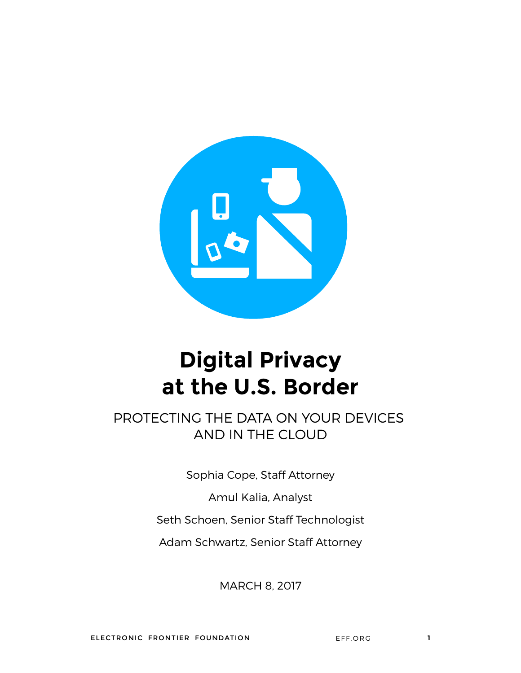

# **Digital Privacy at the U.S. Border**

PROTECTING THE DATA ON YOUR DEVICES AND IN THE CLOUD

Sophia Cope, Staff Attorney

Amul Kalia, Analyst

Seth Schoen, Senior Staff Technologist

Adam Schwartz, Senior Staff Attorney

MARCH 8, 2017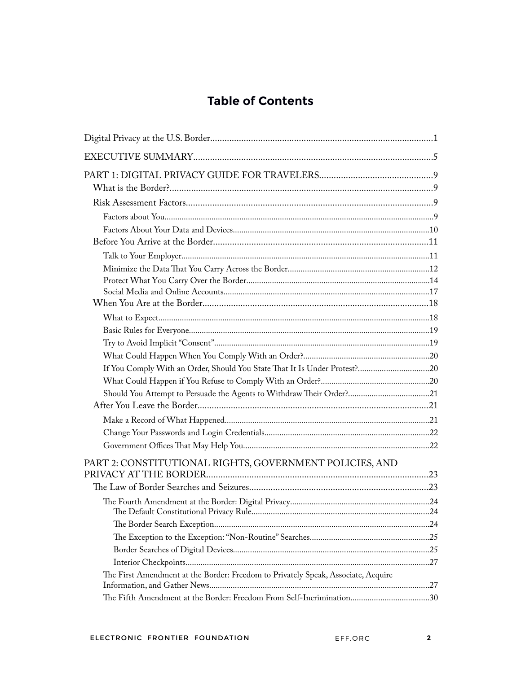## **Table of Contents**

| Should You Attempt to Persuade the Agents to Withdraw Their Order?21              |  |
|-----------------------------------------------------------------------------------|--|
|                                                                                   |  |
|                                                                                   |  |
|                                                                                   |  |
|                                                                                   |  |
| PART 2: CONSTITUTIONAL RIGHTS, GOVERNMENT POLICIES, AND                           |  |
|                                                                                   |  |
|                                                                                   |  |
|                                                                                   |  |
|                                                                                   |  |
|                                                                                   |  |
|                                                                                   |  |
|                                                                                   |  |
|                                                                                   |  |
| The First Amendment at the Border: Freedom to Privately Speak, Associate, Acquire |  |
| The Fifth Amendment at the Border: Freedom From Self-Incrimination30              |  |
|                                                                                   |  |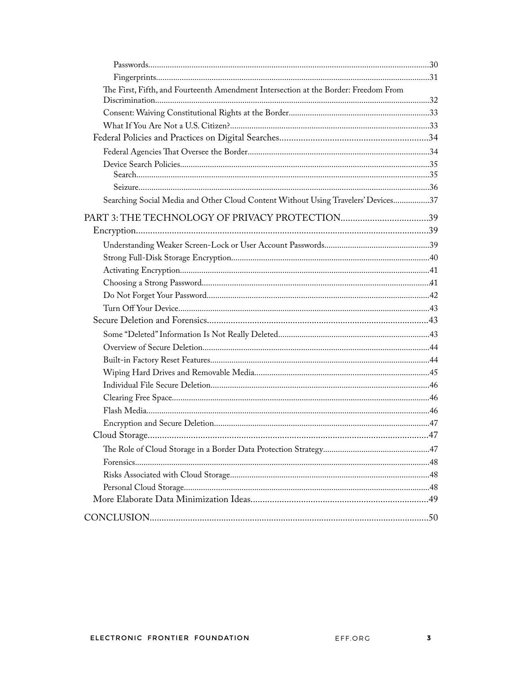| The First, Fifth, and Fourteenth Amendment Intersection at the Border: Freedom From |  |
|-------------------------------------------------------------------------------------|--|
|                                                                                     |  |
|                                                                                     |  |
|                                                                                     |  |
|                                                                                     |  |
|                                                                                     |  |
|                                                                                     |  |
|                                                                                     |  |
| Searching Social Media and Other Cloud Content Without Using Travelers' Devices37   |  |
|                                                                                     |  |
|                                                                                     |  |
|                                                                                     |  |
|                                                                                     |  |
|                                                                                     |  |
|                                                                                     |  |
|                                                                                     |  |
|                                                                                     |  |
|                                                                                     |  |
|                                                                                     |  |
|                                                                                     |  |
|                                                                                     |  |
|                                                                                     |  |
|                                                                                     |  |
|                                                                                     |  |
|                                                                                     |  |
|                                                                                     |  |
|                                                                                     |  |
|                                                                                     |  |
|                                                                                     |  |
|                                                                                     |  |
|                                                                                     |  |
|                                                                                     |  |
|                                                                                     |  |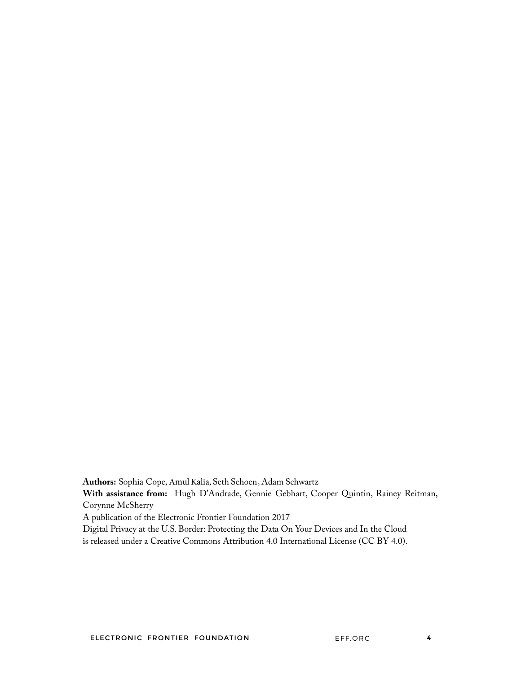**Authors:** Sophia Cope, Amul Kalia, Seth Schoen, Adam Schwartz

**With assistance from:** Hugh D'Andrade, Gennie Gebhart, Cooper Quintin, Rainey Reitman, Corynne McSherry

A publication of the Electronic Frontier Foundation 2017

Digital Privacy at the U.S. Border: Protecting the Data On Your Devices and In the Cloud

is released under a Creative Commons Attribution 4.0 International License (CC BY 4.0).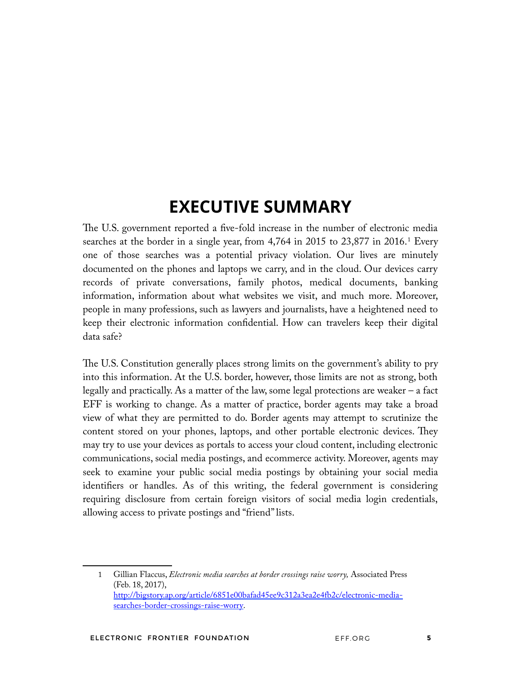# **EXECUTIVE SUMMARY**

The U.S. government reported a five-fold increase in the number of electronic media searches at the border in a single year, from 4,764 in 2015 to 23,877 in 2016.<sup>1</sup> Every one of those searches was a potential privacy violation. Our lives are minutely documented on the phones and laptops we carry, and in the cloud. Our devices carry records of private conversations, family photos, medical documents, banking information, information about what websites we visit, and much more. Moreover, people in many professions, such as lawyers and journalists, have a heightened need to keep their electronic information confdential. How can travelers keep their digital data safe?

The U.S. Constitution generally places strong limits on the government's ability to pry into this information. At the U.S. border, however, those limits are not as strong, both legally and practically. As a matter of the law, some legal protections are weaker – a fact EFF is working to change. As a matter of practice, border agents may take a broad view of what they are permitted to do. Border agents may attempt to scrutinize the content stored on your phones, laptops, and other portable electronic devices. They may try to use your devices as portals to access your cloud content, including electronic communications, social media postings, and ecommerce activity. Moreover, agents may seek to examine your public social media postings by obtaining your social media identifers or handles. As of this writing, the federal government is considering requiring disclosure from certain foreign visitors of social media login credentials, allowing access to private postings and "friend" lists.

<sup>1</sup> Gillian Flaccus, *Electronic media searches at border crossings raise worry,* Associated Press (Feb. 18, 2017), http://bigstory.ap.org/article/6851e00bafad45ee9c312a3ea2e4fb2c/electronic-mediasearches-border-crossings-raise-worry.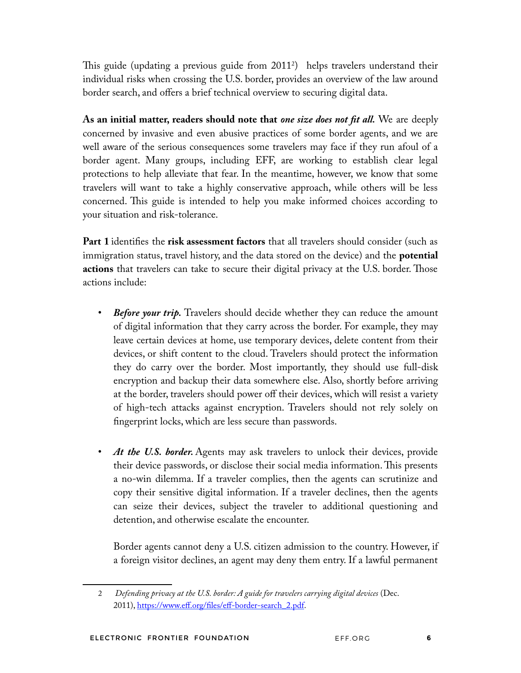This guide (updating a previous guide from 2011<sup>2</sup>) helps travelers understand their individual risks when crossing the U.S. border, provides an overview of the law around border search, and offers a brief technical overview to securing digital data.

**As an initial matter, readers should note that** *one size does not ft all.* We are deeply concerned by invasive and even abusive practices of some border agents, and we are well aware of the serious consequences some travelers may face if they run afoul of a border agent. Many groups, including EFF, are working to establish clear legal protections to help alleviate that fear. In the meantime, however, we know that some travelers will want to take a highly conservative approach, while others will be less concerned. This guide is intended to help you make informed choices according to your situation and risk-tolerance.

**Part 1** identifes the **risk assessment factors** that all travelers should consider (such as immigration status, travel history, and the data stored on the device) and the **potential actions** that travelers can take to secure their digital privacy at the U.S. border. Those actions include:

- *Before your trip.* Travelers should decide whether they can reduce the amount of digital information that they carry across the border. For example, they may leave certain devices at home, use temporary devices, delete content from their devices, or shift content to the cloud. Travelers should protect the information they do carry over the border. Most importantly, they should use full-disk encryption and backup their data somewhere else. Also, shortly before arriving at the border, travelers should power off their devices, which will resist a variety of high-tech attacks against encryption. Travelers should not rely solely on fngerprint locks, which are less secure than passwords.
- At the U.S. border. Agents may ask travelers to unlock their devices, provide their device passwords, or disclose their social media information. This presents a no-win dilemma. If a traveler complies, then the agents can scrutinize and copy their sensitive digital information. If a traveler declines, then the agents can seize their devices, subject the traveler to additional questioning and detention, and otherwise escalate the encounter.

Border agents cannot deny a U.S. citizen admission to the country. However, if a foreign visitor declines, an agent may deny them entry. If a lawful permanent

<sup>2</sup> *Defending privacy at the U.S. border: A guide for travelers carrying digital devices* (Dec. 2011), https://www.eff.org/fles/eff-border-search\_2.pdf.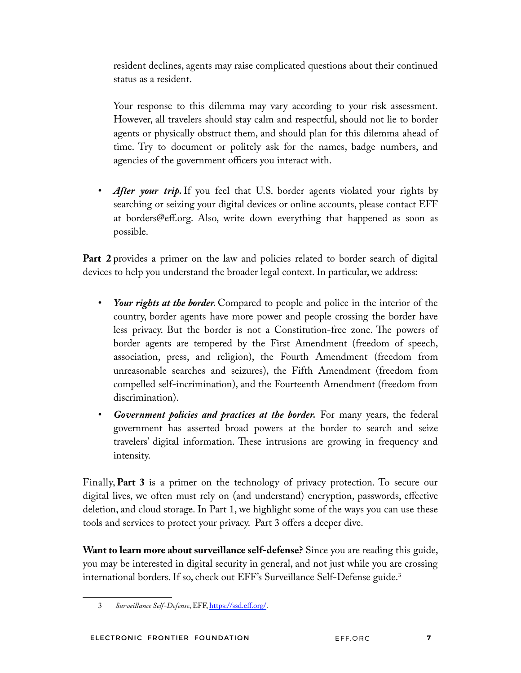resident declines, agents may raise complicated questions about their continued status as a resident.

Your response to this dilemma may vary according to your risk assessment. However, all travelers should stay calm and respectful, should not lie to border agents or physically obstruct them, and should plan for this dilemma ahead of time. Try to document or politely ask for the names, badge numbers, and agencies of the government officers you interact with.

After your trip. If you feel that U.S. border agents violated your rights by searching or seizing your digital devices or online accounts, please contact EFF at borders@eff.org. Also, write down everything that happened as soon as possible.

**Part 2** provides a primer on the law and policies related to border search of digital devices to help you understand the broader legal context. In particular, we address:

- *Your rights at the border.* Compared to people and police in the interior of the country, border agents have more power and people crossing the border have less privacy. But the border is not a Constitution-free zone. The powers of border agents are tempered by the First Amendment (freedom of speech, association, press, and religion), the Fourth Amendment (freedom from unreasonable searches and seizures), the Fifth Amendment (freedom from compelled self-incrimination), and the Fourteenth Amendment (freedom from discrimination).
- *Government policies and practices at the border.* For many years, the federal government has asserted broad powers at the border to search and seize travelers' digital information. Tese intrusions are growing in frequency and intensity.

Finally, **Part 3** is a primer on the technology of privacy protection. To secure our digital lives, we often must rely on (and understand) encryption, passwords, effective deletion, and cloud storage. In Part 1, we highlight some of the ways you can use these tools and services to protect your privacy. Part 3 offers a deeper dive.

**Want to learn more about surveillance self-defense?** Since you are reading this guide, you may be interested in digital security in general, and not just while you are crossing international borders. If so, check out EFF's Surveillance Self-Defense guide.<sup>3</sup>

<sup>3</sup> *Surveillance Self-Defense*, EFF, https://ssd.eff.org/.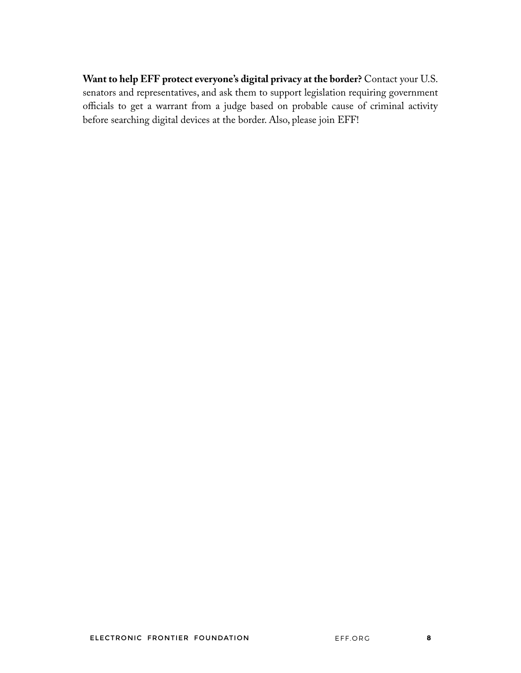**Want to help EFF protect everyone's digital privacy at the border?** Contact your U.S. senators and representatives, and ask them to support legislation requiring government officials to get a warrant from a judge based on probable cause of criminal activity before searching digital devices at the border. Also, please join EFF!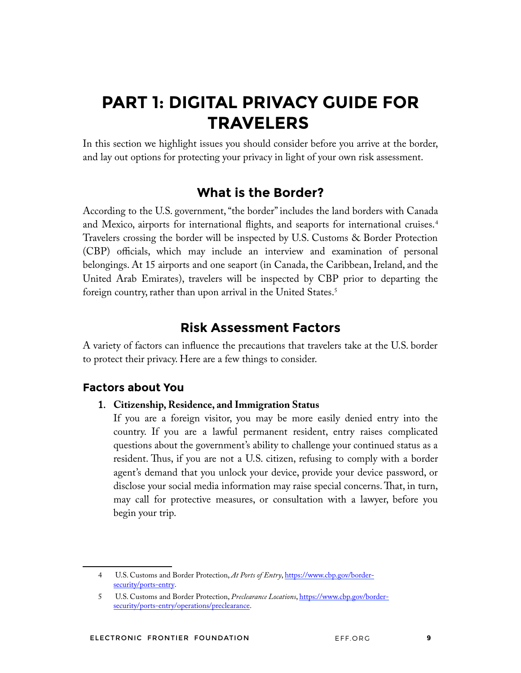# **PART 1: DIGITAL PRIVACY GUIDE FOR TRAVELERS**

In this section we highlight issues you should consider before you arrive at the border, and lay out options for protecting your privacy in light of your own risk assessment.

## **What is the Border?**

According to the U.S. government, "the border" includes the land borders with Canada and Mexico, airports for international flights, and seaports for international cruises.<sup>4</sup> Travelers crossing the border will be inspected by U.S. Customs & Border Protection (CBP) officials, which may include an interview and examination of personal belongings. At 15 airports and one seaport (in Canada, the Caribbean, Ireland, and the United Arab Emirates), travelers will be inspected by CBP prior to departing the foreign country, rather than upon arrival in the United States.<sup>5</sup>

## **Risk Assessment Factors**

A variety of factors can infuence the precautions that travelers take at the U.S. border to protect their privacy. Here are a few things to consider.

## **Factors about You**

#### 1. **Citizenship, Residence, and Immigration Status**

If you are a foreign visitor, you may be more easily denied entry into the country. If you are a lawful permanent resident, entry raises complicated questions about the government's ability to challenge your continued status as a resident. Thus, if you are not a U.S. citizen, refusing to comply with a border agent's demand that you unlock your device, provide your device password, or disclose your social media information may raise special concerns. That, in turn, may call for protective measures, or consultation with a lawyer, before you begin your trip.

<sup>4</sup> U.S. Customs and Border Protection, *At Ports of Entry*, https://www.cbp.gov/bordersecurity/ports-entry.

<sup>5</sup> U.S. Customs and Border Protection, *Preclearance Locations*, https://www.cbp.gov/bordersecurity/ports-entry/operations/preclearance.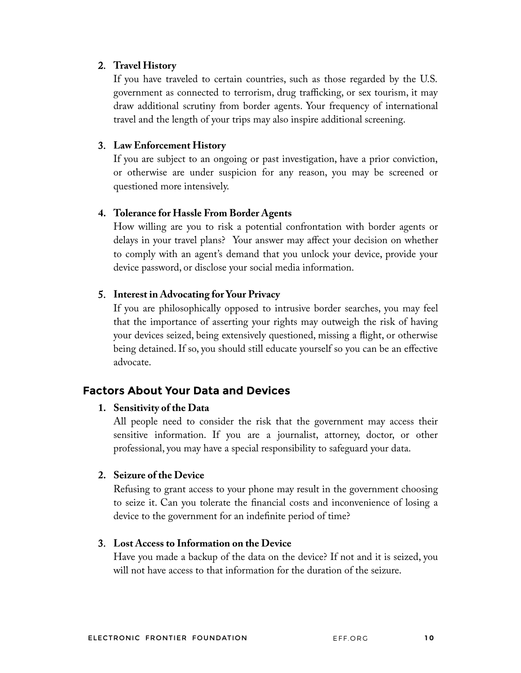#### 2. **Travel History**

If you have traveled to certain countries, such as those regarded by the U.S. government as connected to terrorism, drug trafficking, or sex tourism, it may draw additional scrutiny from border agents. Your frequency of international travel and the length of your trips may also inspire additional screening.

#### 3. **Law Enforcement History**

If you are subject to an ongoing or past investigation, have a prior conviction, or otherwise are under suspicion for any reason, you may be screened or questioned more intensively.

#### **4. Tolerance for Hassle From Border Agents**

How willing are you to risk a potential confrontation with border agents or delays in your travel plans? Your answer may affect your decision on whether to comply with an agent's demand that you unlock your device, provide your device password, or disclose your social media information.

#### 5. **Interest in Advocating for Your Privacy**

If you are philosophically opposed to intrusive border searches, you may feel that the importance of asserting your rights may outweigh the risk of having your devices seized, being extensively questioned, missing a fight, or otherwise being detained. If so, you should still educate yourself so you can be an effective advocate.

## **Factors About Your Data and Devices**

#### **1. Sensitivity of the Data**

All people need to consider the risk that the government may access their sensitive information. If you are a journalist, attorney, doctor, or other professional, you may have a special responsibility to safeguard your data.

#### **2. Seizure of the Device**

Refusing to grant access to your phone may result in the government choosing to seize it. Can you tolerate the fnancial costs and inconvenience of losing a device to the government for an indefnite period of time?

#### 3. **Lost Access to Information on the Device**

Have you made a backup of the data on the device? If not and it is seized, you will not have access to that information for the duration of the seizure.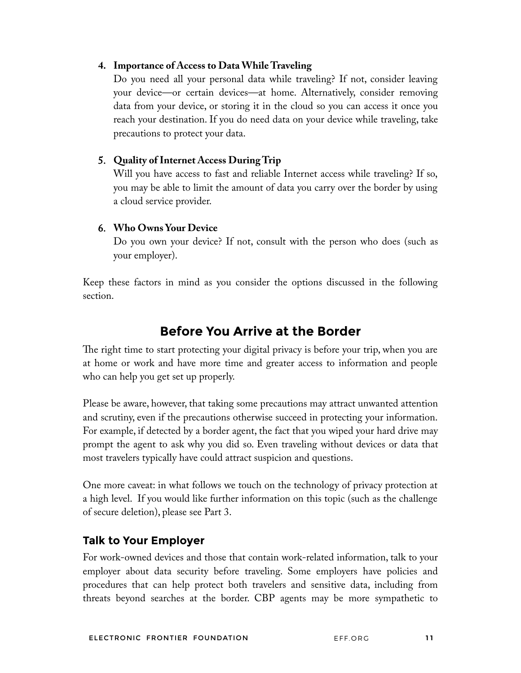#### **4. Importance of Access to Data While Traveling**

Do you need all your personal data while traveling? If not, consider leaving your device—or certain devices—at home. Alternatively, consider removing data from your device, or storing it in the cloud so you can access it once you reach your destination. If you do need data on your device while traveling, take precautions to protect your data.

#### 5. **Quality of Internet Access During Trip**

Will you have access to fast and reliable Internet access while traveling? If so, you may be able to limit the amount of data you carry over the border by using a cloud service provider.

#### 6. **Who Owns Your Device**

Do you own your device? If not, consult with the person who does (such as your employer).

Keep these factors in mind as you consider the options discussed in the following section.

## **Before You Arrive at the Border**

The right time to start protecting your digital privacy is before your trip, when you are at home or work and have more time and greater access to information and people who can help you get set up properly.

Please be aware, however, that taking some precautions may attract unwanted attention and scrutiny, even if the precautions otherwise succeed in protecting your information. For example, if detected by a border agent, the fact that you wiped your hard drive may prompt the agent to ask why you did so. Even traveling without devices or data that most travelers typically have could attract suspicion and questions.

One more caveat: in what follows we touch on the technology of privacy protection at a high level. If you would like further information on this topic (such as the challenge of secure deletion), please see Part 3.

#### **Talk to Your Employer**

For work-owned devices and those that contain work-related information, talk to your employer about data security before traveling. Some employers have policies and procedures that can help protect both travelers and sensitive data, including from threats beyond searches at the border. CBP agents may be more sympathetic to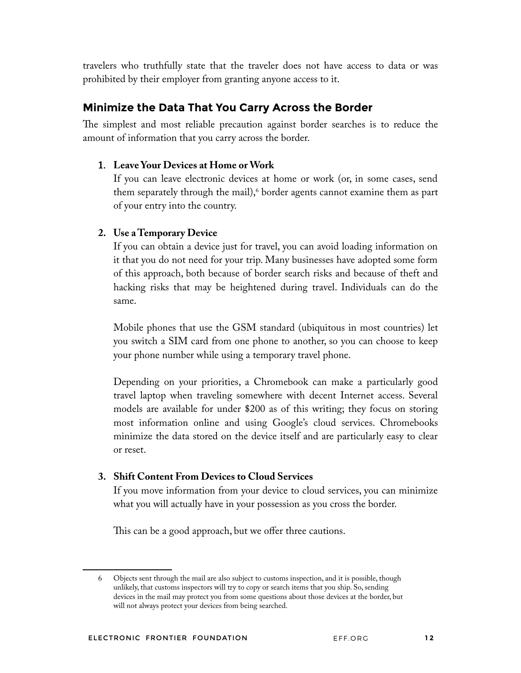travelers who truthfully state that the traveler does not have access to data or was prohibited by their employer from granting anyone access to it.

## **Minimize the Data That You Carry Across the Border**

The simplest and most reliable precaution against border searches is to reduce the amount of information that you carry across the border.

#### 1. **Leave Your Devices at Home or Work**

If you can leave electronic devices at home or work (or, in some cases, send them separately through the mail), $^6$  border agents cannot examine them as part of your entry into the country.

#### **2. Use a Temporary Device**

If you can obtain a device just for travel, you can avoid loading information on it that you do not need for your trip. Many businesses have adopted some form of this approach, both because of border search risks and because of theft and hacking risks that may be heightened during travel. Individuals can do the same.

Mobile phones that use the GSM standard (ubiquitous in most countries) let you switch a SIM card from one phone to another, so you can choose to keep your phone number while using a temporary travel phone.

Depending on your priorities, a Chromebook can make a particularly good travel laptop when traveling somewhere with decent Internet access. Several models are available for under \$200 as of this writing; they focus on storing most information online and using Google's cloud services. Chromebooks minimize the data stored on the device itself and are particularly easy to clear or reset.

#### **3. Shift Content From Devices to Cloud Services**

If you move information from your device to cloud services, you can minimize what you will actually have in your possession as you cross the border.

This can be a good approach, but we offer three cautions.

<sup>6</sup> Objects sent through the mail are also subject to customs inspection, and it is possible, though unlikely, that customs inspectors will try to copy or search items that you ship. So, sending devices in the mail may protect you from some questions about those devices at the border, but will not always protect your devices from being searched.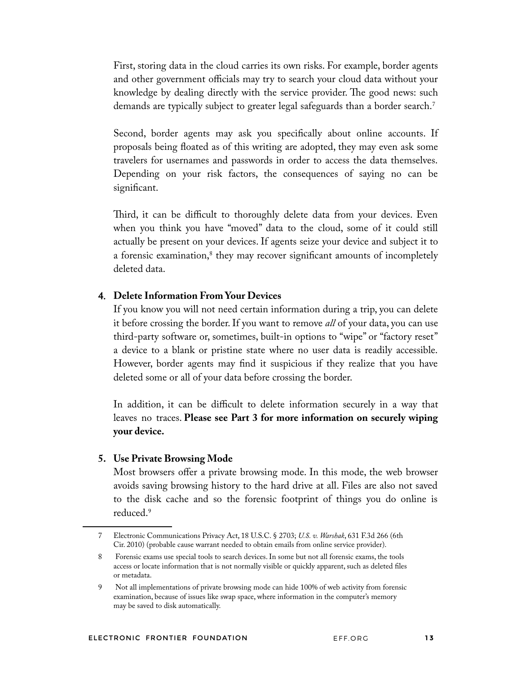First, storing data in the cloud carries its own risks. For example, border agents and other government officials may try to search your cloud data without your knowledge by dealing directly with the service provider. The good news: such demands are typically subject to greater legal safeguards than a border search.7

Second, border agents may ask you specifcally about online accounts. If proposals being foated as of this writing are adopted, they may even ask some travelers for usernames and passwords in order to access the data themselves. Depending on your risk factors, the consequences of saying no can be signifcant.

Third, it can be difficult to thoroughly delete data from your devices. Even when you think you have "moved" data to the cloud, some of it could still actually be present on your devices. If agents seize your device and subject it to a forensic examination,<sup>8</sup> they may recover significant amounts of incompletely deleted data.

#### 4. **Delete Information From Your Devices**

If you know you will not need certain information during a trip, you can delete it before crossing the border. If you want to remove *all* of your data, you can use third-party software or, sometimes, built-in options to "wipe" or "factory reset" a device to a blank or pristine state where no user data is readily accessible. However, border agents may fnd it suspicious if they realize that you have deleted some or all of your data before crossing the border.

In addition, it can be difficult to delete information securely in a way that leaves no traces. **Please see Part 3 for more information on securely wiping your device.**

#### **5. Use Private Browsing Mode**

Most browsers offer a private browsing mode. In this mode, the web browser avoids saving browsing history to the hard drive at all. Files are also not saved to the disk cache and so the forensic footprint of things you do online is reduced.9

<sup>7</sup> Electronic Communications Privacy Act, 18 U.S.C. § 2703; *U.S. v. Warshak*, 631 F.3d 266 (6th Cir. 2010) (probable cause warrant needed to obtain emails from online service provider).

<sup>8</sup> Forensic exams use special tools to search devices. In some but not all forensic exams, the tools access or locate information that is not normally visible or quickly apparent, such as deleted fles or metadata.

<sup>9</sup> Not all implementations of private browsing mode can hide 100% of web activity from forensic examination, because of issues like swap space, where information in the computer's memory may be saved to disk automatically.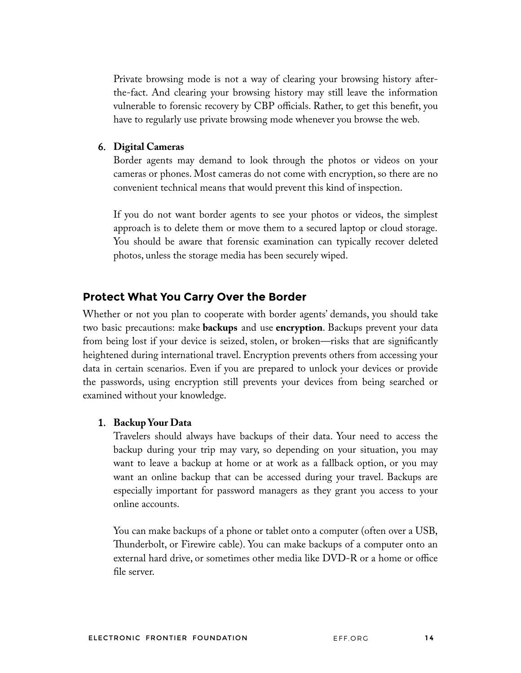Private browsing mode is not a way of clearing your browsing history afterthe-fact. And clearing your browsing history may still leave the information vulnerable to forensic recovery by CBP officials. Rather, to get this beneft, you have to regularly use private browsing mode whenever you browse the web.

#### 6. **Digital Cameras**

Border agents may demand to look through the photos or videos on your cameras or phones. Most cameras do not come with encryption, so there are no convenient technical means that would prevent this kind of inspection.

If you do not want border agents to see your photos or videos, the simplest approach is to delete them or move them to a secured laptop or cloud storage. You should be aware that forensic examination can typically recover deleted photos, unless the storage media has been securely wiped.

#### **Protect What You Carry Over the Border**

Whether or not you plan to cooperate with border agents' demands, you should take two basic precautions: make **backups** and use **encryption**. Backups prevent your data from being lost if your device is seized, stolen, or broken—risks that are signifcantly heightened during international travel. Encryption prevents others from accessing your data in certain scenarios. Even if you are prepared to unlock your devices or provide the passwords, using encryption still prevents your devices from being searched or examined without your knowledge.

#### 1. **Backup Your Data**

Travelers should always have backups of their data. Your need to access the backup during your trip may vary, so depending on your situation, you may want to leave a backup at home or at work as a fallback option, or you may want an online backup that can be accessed during your travel. Backups are especially important for password managers as they grant you access to your online accounts.

You can make backups of a phone or tablet onto a computer (often over a USB, Thunderbolt, or Firewire cable). You can make backups of a computer onto an external hard drive, or sometimes other media like DVD-R or a home or office fle server.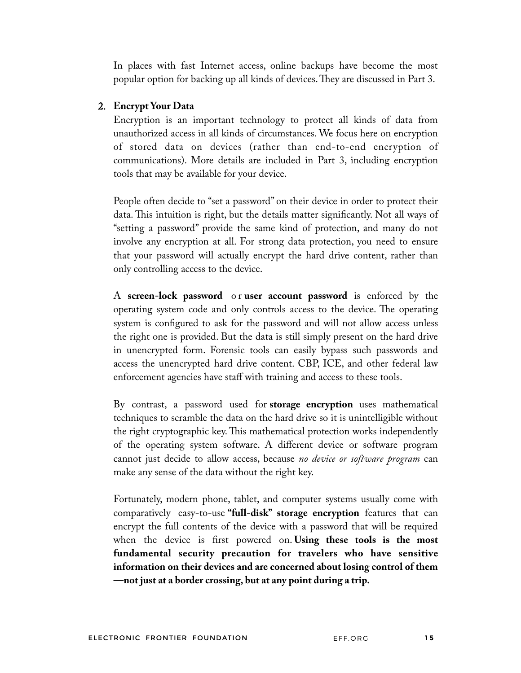In places with fast Internet access, online backups have become the most popular option for backing up all kinds of devices. They are discussed in Part 3.

#### 2. **Encrypt Your Data**

Encryption is an important technology to protect all kinds of data from unauthorized access in all kinds of circumstances. We focus here on encryption of stored data on devices (rather than end-to-end encryption of communications). More details are included in Part 3, including encryption tools that may be available for your device.

People often decide to "set a password" on their device in order to protect their data. This intuition is right, but the details matter significantly. Not all ways of "setting a password" provide the same kind of protection, and many do not involve any encryption at all. For strong data protection, you need to ensure that your password will actually encrypt the hard drive content, rather than only controlling access to the device.

A **screen-lock password** o r **user account password** is enforced by the operating system code and only controls access to the device. The operating system is confgured to ask for the password and will not allow access unless the right one is provided. But the data is still simply present on the hard drive in unencrypted form. Forensic tools can easily bypass such passwords and access the unencrypted hard drive content. CBP, ICE, and other federal law enforcement agencies have staff with training and access to these tools.

By contrast, a password used for **storage encryption** uses mathematical techniques to scramble the data on the hard drive so it is unintelligible without the right cryptographic key. Tis mathematical protection works independently of the operating system software. A different device or software program cannot just decide to allow access, because *no device or software program* can make any sense of the data without the right key.

Fortunately, modern phone, tablet, and computer systems usually come with comparatively easy-to-use **"full-disk" storage encryption** features that can encrypt the full contents of the device with a password that will be required when the device is frst powered on. **Using these tools is the most fundamental security precaution for travelers who have sensitive information on their devices and are concerned about losing control of them —not just at a border crossing, but at any point during a trip.**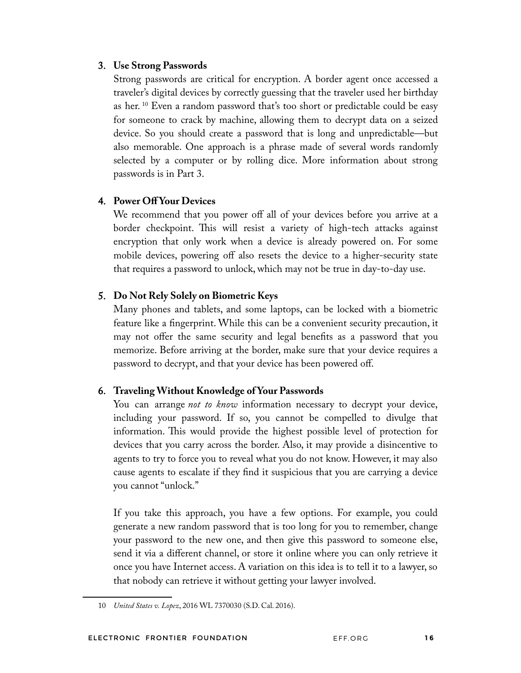#### 3. **Use Strong Passwords**

Strong passwords are critical for encryption. A border agent once accessed a traveler's digital devices by correctly guessing that the traveler used her birthday as her. 10 Even a random password that's too short or predictable could be easy for someone to crack by machine, allowing them to decrypt data on a seized device. So you should create a password that is long and unpredictable—but also memorable. One approach is a phrase made of several words randomly selected by a computer or by rolling dice. More information about strong passwords is in Part 3.

#### 4. **Power Off Your Devices**

We recommend that you power off all of your devices before you arrive at a border checkpoint. This will resist a variety of high-tech attacks against encryption that only work when a device is already powered on. For some mobile devices, powering off also resets the device to a higher-security state that requires a password to unlock, which may not be true in day-to-day use.

#### 5. **Do Not Rely Solely on Biometric Keys**

Many phones and tablets, and some laptops, can be locked with a biometric feature like a fngerprint. While this can be a convenient security precaution, it may not offer the same security and legal benefts as a password that you memorize. Before arriving at the border, make sure that your device requires a password to decrypt, and that your device has been powered off.

#### 6. **Traveling Without Knowledge of Your Passwords**

You can arrange *not to know* information necessary to decrypt your device, including your password. If so, you cannot be compelled to divulge that information. This would provide the highest possible level of protection for devices that you carry across the border. Also, it may provide a disincentive to agents to try to force you to reveal what you do not know. However, it may also cause agents to escalate if they fnd it suspicious that you are carrying a device you cannot "unlock."

If you take this approach, you have a few options. For example, you could generate a new random password that is too long for you to remember, change your password to the new one, and then give this password to someone else, send it via a different channel, or store it online where you can only retrieve it once you have Internet access. A variation on this idea is to tell it to a lawyer, so that nobody can retrieve it without getting your lawyer involved.

<sup>10</sup> *United States v. Lopez*, 2016 WL 7370030 (S.D. Cal. 2016).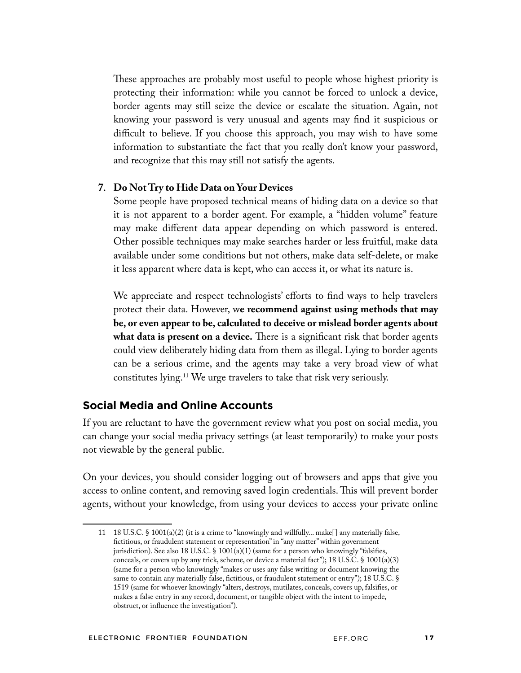These approaches are probably most useful to people whose highest priority is protecting their information: while you cannot be forced to unlock a device, border agents may still seize the device or escalate the situation. Again, not knowing your password is very unusual and agents may fnd it suspicious or difficult to believe. If you choose this approach, you may wish to have some information to substantiate the fact that you really don't know your password, and recognize that this may still not satisfy the agents.

#### 7. **Do Not Try to Hide Data on Your Devices**

Some people have proposed technical means of hiding data on a device so that it is not apparent to a border agent. For example, a "hidden volume" feature may make different data appear depending on which password is entered. Other possible techniques may make searches harder or less fruitful, make data available under some conditions but not others, make data self-delete, or make it less apparent where data is kept, who can access it, or what its nature is.

We appreciate and respect technologists' efforts to fnd ways to help travelers protect their data. However, w**e recommend against using methods that may be, or even appear to be, calculated to deceive or mislead border agents about** what data is present on a device. There is a significant risk that border agents could view deliberately hiding data from them as illegal. Lying to border agents can be a serious crime, and the agents may take a very broad view of what constitutes lying.11 We urge travelers to take that risk very seriously.

#### **Social Media and Online Accounts**

If you are reluctant to have the government review what you post on social media, you can change your social media privacy settings (at least temporarily) to make your posts not viewable by the general public.

On your devices, you should consider logging out of browsers and apps that give you access to online content, and removing saved login credentials. This will prevent border agents, without your knowledge, from using your devices to access your private online

<sup>11</sup> 18 U.S.C. § 1001(a)(2) (it is a crime to "knowingly and willfully... make[] any materially false, fctitious, or fraudulent statement or representation" in "any matter" within government jurisdiction). See also 18 U.S.C. § 1001(a)(1) (same for a person who knowingly "falsifies, conceals, or covers up by any trick, scheme, or device a material fact"); 18 U.S.C. § 1001(a)(3) (same for a person who knowingly "makes or uses any false writing or document knowing the same to contain any materially false, fictitious, or fraudulent statement or entry"); 18 U.S.C. § 1519 (same for whoever knowingly "alters, destroys, mutilates, conceals, covers up, falsifes, or makes a false entry in any record, document, or tangible object with the intent to impede, obstruct, or infuence the investigation").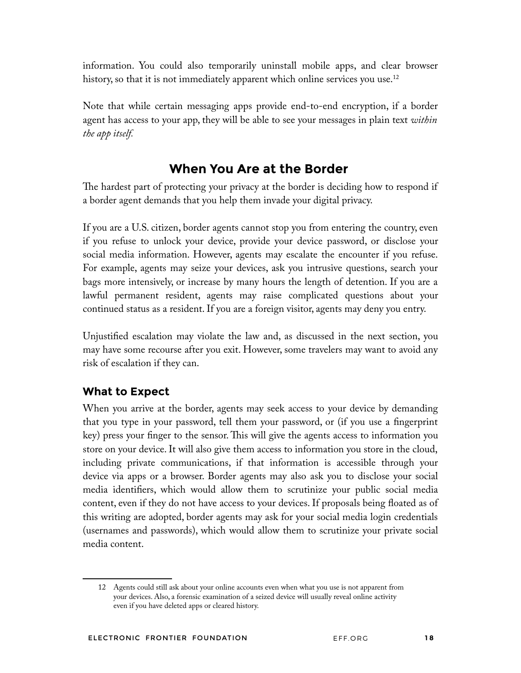information. You could also temporarily uninstall mobile apps, and clear browser history, so that it is not immediately apparent which online services you use.<sup>12</sup>

Note that while certain messaging apps provide end-to-end encryption, if a border agent has access to your app, they will be able to see your messages in plain text *within the app itself.*

# **When You Are at the Border**

The hardest part of protecting your privacy at the border is deciding how to respond if a border agent demands that you help them invade your digital privacy.

If you are a U.S. citizen, border agents cannot stop you from entering the country, even if you refuse to unlock your device, provide your device password, or disclose your social media information. However, agents may escalate the encounter if you refuse. For example, agents may seize your devices, ask you intrusive questions, search your bags more intensively, or increase by many hours the length of detention. If you are a lawful permanent resident, agents may raise complicated questions about your continued status as a resident. If you are a foreign visitor, agents may deny you entry.

Unjustifed escalation may violate the law and, as discussed in the next section, you may have some recourse after you exit. However, some travelers may want to avoid any risk of escalation if they can.

## **What to Expect**

When you arrive at the border, agents may seek access to your device by demanding that you type in your password, tell them your password, or (if you use a fngerprint key) press your finger to the sensor. This will give the agents access to information you store on your device. It will also give them access to information you store in the cloud, including private communications, if that information is accessible through your device via apps or a browser. Border agents may also ask you to disclose your social media identifers, which would allow them to scrutinize your public social media content, even if they do not have access to your devices. If proposals being foated as of this writing are adopted, border agents may ask for your social media login credentials (usernames and passwords), which would allow them to scrutinize your private social media content.

<sup>12</sup> Agents could still ask about your online accounts even when what you use is not apparent from your devices. Also, a forensic examination of a seized device will usually reveal online activity even if you have deleted apps or cleared history.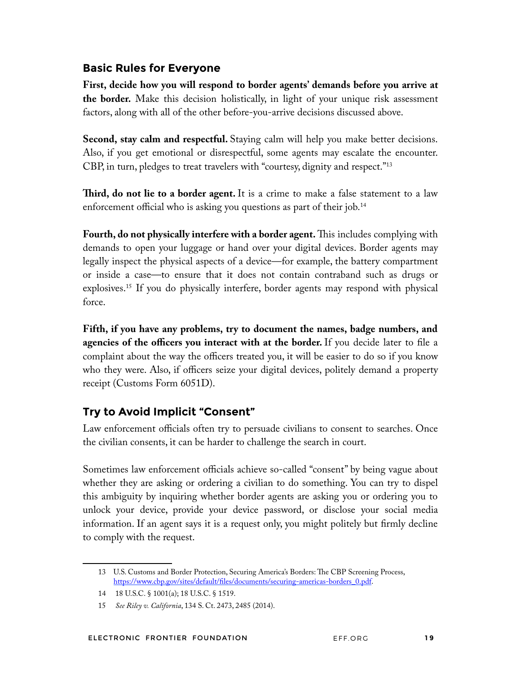### **Basic Rules for Everyone**

**First, decide how you will respond to border agents' demands before you arrive at the border.** Make this decision holistically, in light of your unique risk assessment factors, along with all of the other before-you-arrive decisions discussed above.

**Second, stay calm and respectful.** Staying calm will help you make better decisions. Also, if you get emotional or disrespectful, some agents may escalate the encounter. CBP, in turn, pledges to treat travelers with "courtesy, dignity and respect."13

**Tird, do not lie to a border agent.** It is a crime to make a false statement to a law enforcement official who is asking you questions as part of their job.<sup>14</sup>

Fourth, do not physically interfere with a border agent. This includes complying with demands to open your luggage or hand over your digital devices. Border agents may legally inspect the physical aspects of a device—for example, the battery compartment or inside a case—to ensure that it does not contain contraband such as drugs or explosives.15 If you do physically interfere, border agents may respond with physical force.

**Fifth, if you have any problems, try to document the names, badge numbers, and agencies of the officers you interact with at the border.** If you decide later to fle a complaint about the way the officers treated you, it will be easier to do so if you know who they were. Also, if officers seize your digital devices, politely demand a property receipt (Customs Form 6051D).

## **Try to Avoid Implicit "Consent"**

Law enforcement officials often try to persuade civilians to consent to searches. Once the civilian consents, it can be harder to challenge the search in court.

Sometimes law enforcement officials achieve so-called "consent" by being vague about whether they are asking or ordering a civilian to do something. You can try to dispel this ambiguity by inquiring whether border agents are asking you or ordering you to unlock your device, provide your device password, or disclose your social media information. If an agent says it is a request only, you might politely but frmly decline to comply with the request.

<sup>13</sup> U.S. Customs and Border Protection, Securing America's Borders: The CBP Screening Process, https://www.cbp.gov/sites/default/fles/documents/securing-americas-borders\_0.pdf.

<sup>14 18</sup> U.S.C. § 1001(a); 18 U.S.C. § 1519.

<sup>15</sup> *See Riley v. California*, 134 S. Ct. 2473, 2485 (2014).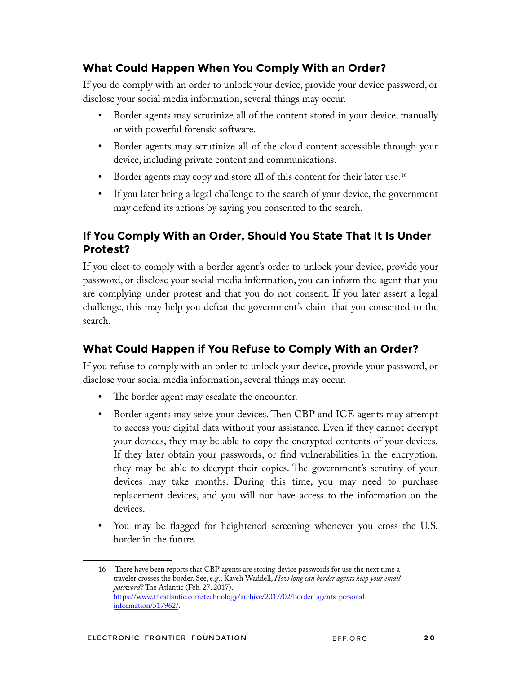## **What Could Happen When You Comply With an Order?**

If you do comply with an order to unlock your device, provide your device password, or disclose your social media information, several things may occur.

- Border agents may scrutinize all of the content stored in your device, manually or with powerful forensic software.
- Border agents may scrutinize all of the cloud content accessible through your device, including private content and communications.
- Border agents may copy and store all of this content for their later use.<sup>16</sup>
- If you later bring a legal challenge to the search of your device, the government may defend its actions by saying you consented to the search.

## **If You Comply With an Order, Should You State That It Is Under Protest?**

If you elect to comply with a border agent's order to unlock your device, provide your password, or disclose your social media information, you can inform the agent that you are complying under protest and that you do not consent. If you later assert a legal challenge, this may help you defeat the government's claim that you consented to the search.

## **What Could Happen if You Refuse to Comply With an Order?**

If you refuse to comply with an order to unlock your device, provide your password, or disclose your social media information, several things may occur.

- The border agent may escalate the encounter.
- Border agents may seize your devices. Then CBP and ICE agents may attempt to access your digital data without your assistance. Even if they cannot decrypt your devices, they may be able to copy the encrypted contents of your devices. If they later obtain your passwords, or fnd vulnerabilities in the encryption, they may be able to decrypt their copies. The government's scrutiny of your devices may take months. During this time, you may need to purchase replacement devices, and you will not have access to the information on the devices.
- You may be fagged for heightened screening whenever you cross the U.S. border in the future.

<sup>16</sup> There have been reports that CBP agents are storing device passwords for use the next time a traveler crosses the border. See, e.g., Kaveh Waddell, *How long can border agents keep your email*  password? The Atlantic (Feb. 27, 2017), https://www.theatlantic.com/technology/archive/2017/02/border-agents-personalinformation/517962/.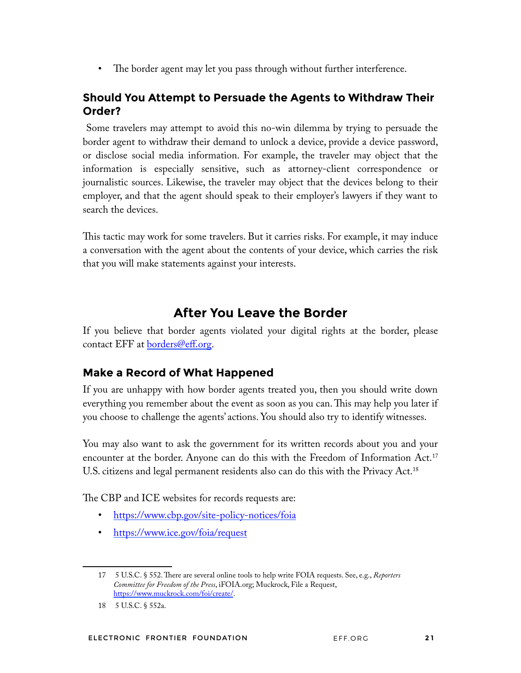• The border agent may let you pass through without further interference.

## **Should You Attempt to Persuade the Agents to Withdraw Their Order?**

 Some travelers may attempt to avoid this no-win dilemma by trying to persuade the border agent to withdraw their demand to unlock a device, provide a device password, or disclose social media information. For example, the traveler may object that the information is especially sensitive, such as attorney-client correspondence or journalistic sources. Likewise, the traveler may object that the devices belong to their employer, and that the agent should speak to their employer's lawyers if they want to search the devices.

This tactic may work for some travelers. But it carries risks. For example, it may induce a conversation with the agent about the contents of your device, which carries the risk that you will make statements against your interests.

# **After You Leave the Border**

If you believe that border agents violated your digital rights at the border, please contact EFF at borders@eff.org.

## **Make a Record of What Happened**

If you are unhappy with how border agents treated you, then you should write down everything you remember about the event as soon as you can. This may help you later if you choose to challenge the agents' actions. You should also try to identify witnesses.

You may also want to ask the government for its written records about you and your encounter at the border. Anyone can do this with the Freedom of Information Act.<sup>17</sup> U.S. citizens and legal permanent residents also can do this with the Privacy Act.18

The CBP and ICE websites for records requests are:

- https://www.cbp.gov/site-policy-notices/foia
- https://www.ice.gov/foia/request

<sup>17 5</sup> U.S.C. § 552. There are several online tools to help write FOIA requests. See, e.g., *Reporters Committee for Freedom of the Press*, iFOIA.org; Muckrock, File a Request, https://www.muckrock.com/foi/create/.

<sup>18 5</sup> U.S.C. § 552a.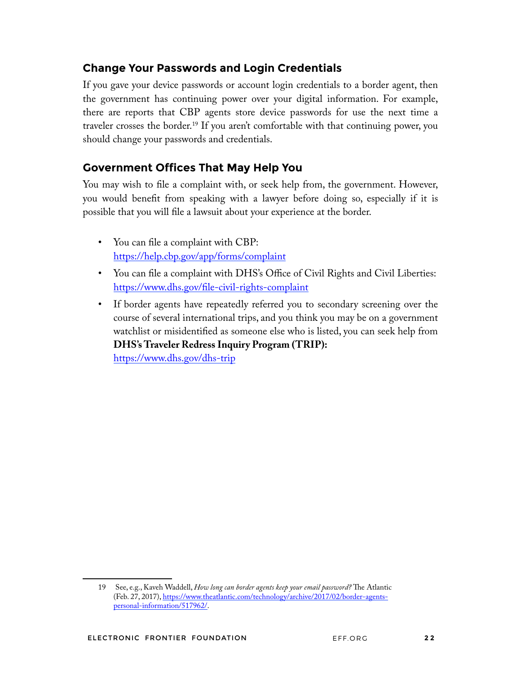## **Change Your Passwords and Login Credentials**

If you gave your device passwords or account login credentials to a border agent, then the government has continuing power over your digital information. For example, there are reports that CBP agents store device passwords for use the next time a traveler crosses the border.<sup>19</sup> If you aren't comfortable with that continuing power, you should change your passwords and credentials.

## **Government Offices That May Help You**

You may wish to fle a complaint with, or seek help from, the government. However, you would beneft from speaking with a lawyer before doing so, especially if it is possible that you will fle a lawsuit about your experience at the border.

- You can file a complaint with CBP: https://help.cbp.gov/app/forms/complaint
- You can file a complaint with DHS's Office of Civil Rights and Civil Liberties: https://www.dhs.gov/fle-civil-rights-complaint
- If border agents have repeatedly referred you to secondary screening over the course of several international trips, and you think you may be on a government watchlist or misidentifed as someone else who is listed, you can seek help from **DHS's Traveler Redress Inquiry Program (TRIP):** https://www.dhs.gov/dhs-trip

<sup>19</sup> See, e.g., Kaveh Waddell, *How long can border agents keep your email password?* The Atlantic (Feb. 27, 2017), https://www.theatlantic.com/technology/archive/2017/02/border-agentspersonal-information/517962/.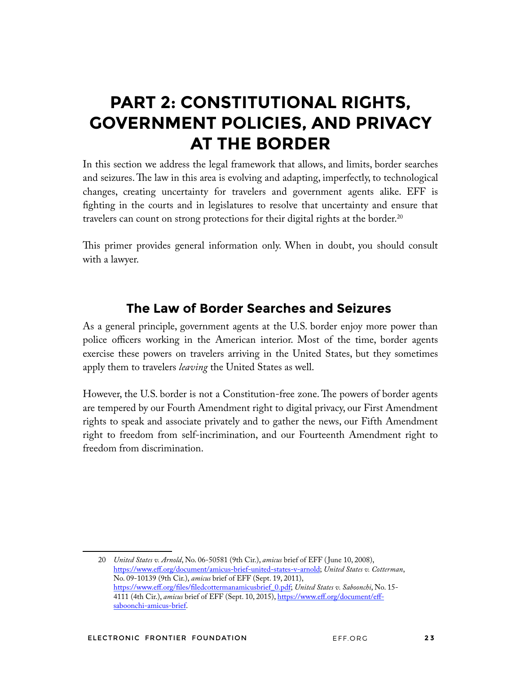# **PART 2: CONSTITUTIONAL RIGHTS, GOVERNMENT POLICIES, AND PRIVACY AT THE BORDER**

In this section we address the legal framework that allows, and limits, border searches and seizures. The law in this area is evolving and adapting, imperfectly, to technological changes, creating uncertainty for travelers and government agents alike. EFF is fghting in the courts and in legislatures to resolve that uncertainty and ensure that travelers can count on strong protections for their digital rights at the border.<sup>20</sup>

This primer provides general information only. When in doubt, you should consult with a lawyer.

## **The Law of Border Searches and Seizures**

As a general principle, government agents at the U.S. border enjoy more power than police officers working in the American interior. Most of the time, border agents exercise these powers on travelers arriving in the United States, but they sometimes apply them to travelers *leaving* the United States as well.

However, the U.S. border is not a Constitution-free zone. The powers of border agents are tempered by our Fourth Amendment right to digital privacy, our First Amendment rights to speak and associate privately and to gather the news, our Fifth Amendment right to freedom from self-incrimination, and our Fourteenth Amendment right to freedom from discrimination.

<sup>20</sup> *United States v. Arnold*, No. 06-50581 (9th Cir.), *amicus* brief of EFF ( June 10, 2008), https://www.eff.org/document/amicus-brief-united-states-v-arnold; *United States v. Cotterman*, No. 09-10139 (9th Cir.), *amicus* brief of EFF (Sept. 19, 2011), https://www.eff.org/fles/fledcottermanamicusbrief\_0.pdf; *United States v. Saboonchi*, No. 15- 4111 (4th Cir.), *amicus* brief of EFF (Sept. 10, 2015), https://www.eff.org/document/effsaboonchi-amicus-brief.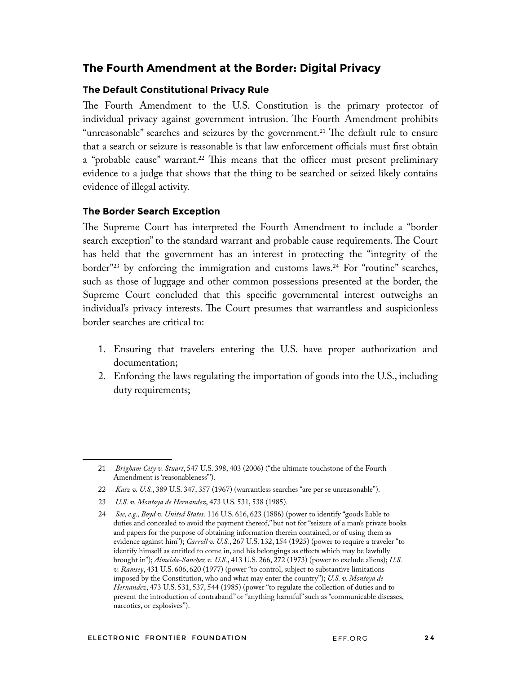#### **The Fourth Amendment at the Border: Digital Privacy**

#### **The Default Constitutional Privacy Rule**

The Fourth Amendment to the U.S. Constitution is the primary protector of individual privacy against government intrusion. The Fourth Amendment prohibits "unreasonable" searches and seizures by the government.<sup>21</sup> The default rule to ensure that a search or seizure is reasonable is that law enforcement officials must frst obtain a "probable cause" warrant.<sup>22</sup> This means that the officer must present preliminary evidence to a judge that shows that the thing to be searched or seized likely contains evidence of illegal activity.

#### **The Border Search Exception**

The Supreme Court has interpreted the Fourth Amendment to include a "border" search exception" to the standard warrant and probable cause requirements. The Court has held that the government has an interest in protecting the "integrity of the border"<sup>23</sup> by enforcing the immigration and customs laws.<sup>24</sup> For "routine" searches, such as those of luggage and other common possessions presented at the border, the Supreme Court concluded that this specifc governmental interest outweighs an individual's privacy interests. The Court presumes that warrantless and suspicionless border searches are critical to:

- 1. Ensuring that travelers entering the U.S. have proper authorization and documentation;
- 2. Enforcing the laws regulating the importation of goods into the U.S., including duty requirements;

<sup>21</sup> *Brigham City v. Stuart*, 547 U.S. 398, 403 (2006) ("the ultimate touchstone of the Fourth Amendment is 'reasonableness").

<sup>22</sup> *Katz v. U.S.*, 389 U.S. 347, 357 (1967) (warrantless searches "are per se unreasonable").

<sup>23</sup> *U.S. v. Montoya de Hernandez*, 473 U.S. 531, 538 (1985).

<sup>24</sup> *See, e.g., Boyd v. United States,* 116 U.S. 616, 623 (1886) (power to identify "goods liable to duties and concealed to avoid the payment thereof," but not for "seizure of a man's private books and papers for the purpose of obtaining information therein contained, or of using them as evidence against him"); *Carroll v. U.S.*, 267 U.S. 132, 154 (1925) (power to require a traveler "to identify himself as entitled to come in, and his belongings as effects which may be lawfully brought in"); *Almeida-Sanchez v. U.S.*, 413 U.S. 266, 272 (1973) (power to exclude aliens); *U.S. v. Ramsey*, 431 U.S. 606, 620 (1977) (power "to control, subject to substantive limitations imposed by the Constitution, who and what may enter the country"); *U.S. v. Montoya de Hernandez*, 473 U.S. 531, 537, 544 (1985) (power "to regulate the collection of duties and to prevent the introduction of contraband" or "anything harmful" such as "communicable diseases, narcotics, or explosives").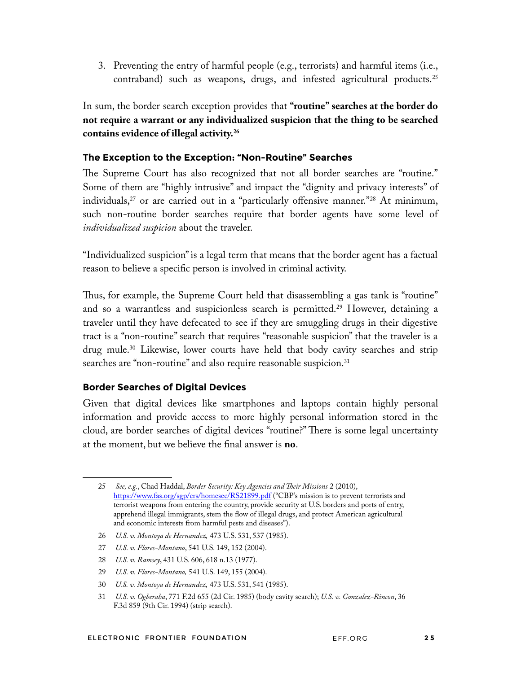3. Preventing the entry of harmful people (e.g., terrorists) and harmful items (i.e., contraband) such as weapons, drugs, and infested agricultural products.25

In sum, the border search exception provides that **"routine" searches at the border do not require a warrant or any individualized suspicion that the thing to be searched contains evidence of illegal activity.26**

#### **The Exception to the Exception: "Non-Routine" Searches**

The Supreme Court has also recognized that not all border searches are "routine." Some of them are "highly intrusive" and impact the "dignity and privacy interests" of individuals,<sup>27</sup> or are carried out in a "particularly offensive manner."<sup>28</sup> At minimum, such non-routine border searches require that border agents have some level of *individualized suspicion* about the traveler.

"Individualized suspicion" is a legal term that means that the border agent has a factual reason to believe a specifc person is involved in criminal activity.

Thus, for example, the Supreme Court held that disassembling a gas tank is "routine" and so a warrantless and suspicionless search is permitted.<sup>29</sup> However, detaining a traveler until they have defecated to see if they are smuggling drugs in their digestive tract is a "non-routine" search that requires "reasonable suspicion" that the traveler is a drug mule.<sup>30</sup> Likewise, lower courts have held that body cavity searches and strip searches are "non-routine" and also require reasonable suspicion.<sup>31</sup>

#### **Border Searches of Digital Devices**

Given that digital devices like smartphones and laptops contain highly personal information and provide access to more highly personal information stored in the cloud, are border searches of digital devices "routine?" There is some legal uncertainty at the moment, but we believe the fnal answer is **no**.

- 26 *U.S. v. Montoya de Hernandez,* 473 U.S. 531, 537 (1985).
- 27 *U.S. v. Flores-Montano*, 541 U.S. 149, 152 (2004).
- 28 *U.S. v. Ramsey*, 431 U.S. 606, 618 n.13 (1977).
- 29 *U.S. v. Flores-Montano,* 541 U.S. 149, 155 (2004).
- 30 *U.S. v. Montoya de Hernandez,* 473 U.S. 531, 541 (1985).
- 31 *U.S. v. Ogberaha*, 771 F.2d 655 (2d Cir. 1985) (body cavity search); *U.S. v. Gonzalez-Rincon*, 36 F.3d 859 (9th Cir. 1994) (strip search).

<sup>25</sup> *See, e.g.*, Chad Haddal, *Border Security: Key Agencies and Teir Missions* 2 (2010), https://www.fas.org/sgp/crs/homesec/RS21899.pdf ("CBP's mission is to prevent terrorists and terrorist weapons from entering the country, provide security at U.S. borders and ports of entry, apprehend illegal immigrants, stem the fow of illegal drugs, and protect American agricultural and economic interests from harmful pests and diseases").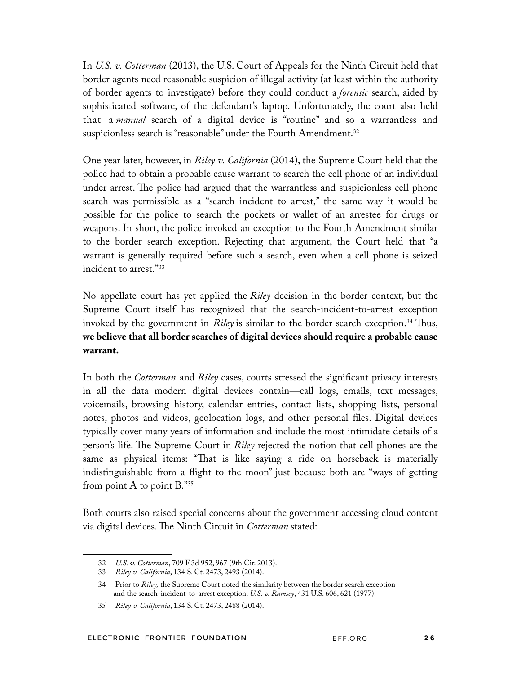In *U.S. v. Cotterman* (2013), the U.S. Court of Appeals for the Ninth Circuit held that border agents need reasonable suspicion of illegal activity (at least within the authority of border agents to investigate) before they could conduct a *forensic* search, aided by sophisticated software, of the defendant's laptop. Unfortunately, the court also held that a *manual* search of a digital device is "routine" and so a warrantless and suspicionless search is "reasonable" under the Fourth Amendment.<sup>32</sup>

One year later, however, in *Riley v. California* (2014), the Supreme Court held that the police had to obtain a probable cause warrant to search the cell phone of an individual under arrest. The police had argued that the warrantless and suspicionless cell phone search was permissible as a "search incident to arrest," the same way it would be possible for the police to search the pockets or wallet of an arrestee for drugs or weapons. In short, the police invoked an exception to the Fourth Amendment similar to the border search exception. Rejecting that argument, the Court held that "a warrant is generally required before such a search, even when a cell phone is seized incident to arrest."33

No appellate court has yet applied the *Riley* decision in the border context, but the Supreme Court itself has recognized that the search-incident-to-arrest exception invoked by the government in *Riley* is similar to the border search exception.<sup>34</sup> Thus, **we believe that all border searches of digital devices should require a probable cause warrant.**

In both the *Cotterman* and *Riley* cases, courts stressed the signifcant privacy interests in all the data modern digital devices contain—call logs, emails, text messages, voicemails, browsing history, calendar entries, contact lists, shopping lists, personal notes, photos and videos, geolocation logs, and other personal fles. Digital devices typically cover many years of information and include the most intimidate details of a person's life. The Supreme Court in *Riley* rejected the notion that cell phones are the same as physical items: "That is like saying a ride on horseback is materially indistinguishable from a fight to the moon" just because both are "ways of getting from point A to point  $B.^{"35}$ 

Both courts also raised special concerns about the government accessing cloud content via digital devices. The Ninth Circuit in *Cotterman* stated:

<sup>32</sup> *U.S. v. Cotterman*, 709 F.3d 952, 967 (9th Cir. 2013).

<sup>33</sup> *Riley v. California*, 134 S. Ct. 2473, 2493 (2014).

<sup>34</sup> Prior to *Riley,* the Supreme Court noted the similarity between the border search exception and the search-incident-to-arrest exception. *U.S. v. Ramsey*, 431 U.S. 606, 621 (1977).

<sup>35</sup> *Riley v. California*, 134 S. Ct. 2473, 2488 (2014).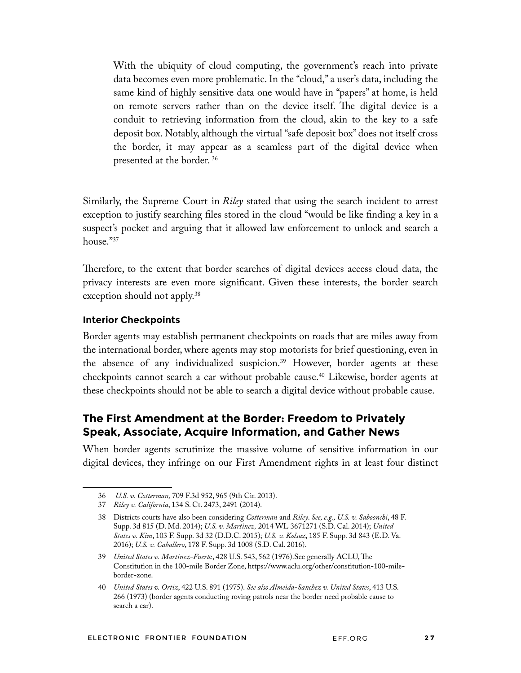With the ubiquity of cloud computing, the government's reach into private data becomes even more problematic. In the "cloud," a user's data, including the same kind of highly sensitive data one would have in "papers" at home, is held on remote servers rather than on the device itself. The digital device is a conduit to retrieving information from the cloud, akin to the key to a safe deposit box. Notably, although the virtual "safe deposit box" does not itself cross the border, it may appear as a seamless part of the digital device when presented at the border. 36

Similarly, the Supreme Court in *Riley* stated that using the search incident to arrest exception to justify searching fles stored in the cloud "would be like fnding a key in a suspect's pocket and arguing that it allowed law enforcement to unlock and search a house."37

Therefore, to the extent that border searches of digital devices access cloud data, the privacy interests are even more signifcant. Given these interests, the border search exception should not apply.<sup>38</sup>

#### **Interior Checkpoints**

Border agents may establish permanent checkpoints on roads that are miles away from the international border, where agents may stop motorists for brief questioning, even in the absence of any individualized suspicion.<sup>39</sup> However, border agents at these checkpoints cannot search a car without probable cause.40 Likewise, border agents at these checkpoints should not be able to search a digital device without probable cause.

## **The First Amendment at the Border: Freedom to Privately Speak, Associate, Acquire Information, and Gather News**

When border agents scrutinize the massive volume of sensitive information in our digital devices, they infringe on our First Amendment rights in at least four distinct

<sup>36</sup> *U.S. v. Cotterman,* 709 F.3d 952, 965 (9th Cir. 2013).

<sup>37</sup> *Riley v. California*, 134 S. Ct. 2473, 2491 (2014).

<sup>38</sup> Districts courts have also been considering *Cotterman* and *Riley*. *See, e.g., U.S. v. Saboonchi*, 48 F. Supp. 3d 815 (D. Md. 2014); *U.S. v. Martinez,* 2014 WL 3671271 (S.D. Cal. 2014); *United States v. Kim*, 103 F. Supp. 3d 32 (D.D.C. 2015); *U.S. v. Kolsuz*, 185 F. Supp. 3d 843 (E.D. Va. 2016); *U.S. v. Caballero*, 178 F. Supp. 3d 1008 (S.D. Cal. 2016).

<sup>39</sup> *United States v. Martinez-Fuert*e, 428 U.S. 543, 562 (1976). See generally ACLU, The Constitution in the 100-mile Border Zone, https://www.aclu.org/other/constitution-100-mileborder-zone.

<sup>40</sup> *United States v. Ortiz*, 422 U.S. 891 (1975). *See also Almeida-Sanchez v. United States*, 413 U.S. 266 (1973) (border agents conducting roving patrols near the border need probable cause to search a car).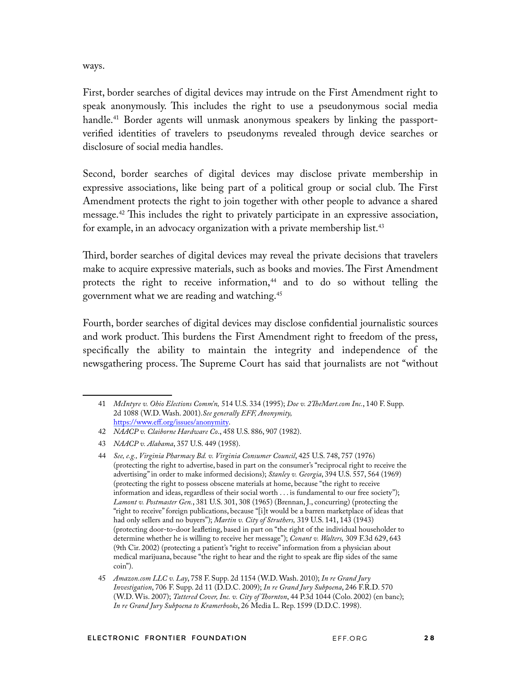ways.

First, border searches of digital devices may intrude on the First Amendment right to speak anonymously. Tis includes the right to use a pseudonymous social media handle.<sup>41</sup> Border agents will unmask anonymous speakers by linking the passportverifed identities of travelers to pseudonyms revealed through device searches or disclosure of social media handles.

Second, border searches of digital devices may disclose private membership in expressive associations, like being part of a political group or social club. The First Amendment protects the right to join together with other people to advance a shared message.<sup>42</sup> This includes the right to privately participate in an expressive association, for example, in an advocacy organization with a private membership list.<sup>43</sup>

Tird, border searches of digital devices may reveal the private decisions that travelers make to acquire expressive materials, such as books and movies. The First Amendment protects the right to receive information,<sup>44</sup> and to do so without telling the government what we are reading and watching.45

Fourth, border searches of digital devices may disclose confdential journalistic sources and work product. This burdens the First Amendment right to freedom of the press, specifcally the ability to maintain the integrity and independence of the newsgathering process. The Supreme Court has said that journalists are not "without

<sup>41</sup> *McIntyre v. Ohio Elections Comm'n,* 514 U.S. 334 (1995); *Doe v. 2TeMart.com Inc.*, 140 F. Supp. 2d 1088 (W.D. Wash. 2001).*See generally EFF, Anonymity,* https://www.eff.org/issues/anonymity.

<sup>42</sup> *NAACP v. Claiborne Hardware Co*., 458 U.S. 886, 907 (1982).

<sup>43</sup> *NAACP v. Alabama*, 357 U.S. 449 (1958).

<sup>44</sup> *See, e.g., Virginia Pharmacy Bd. v. Virginia Consumer Council*, 425 U.S. 748, 757 (1976) (protecting the right to advertise, based in part on the consumer's "reciprocal right to receive the advertising" in order to make informed decisions); *Stanley v. Georgia*, 394 U.S. 557, 564 (1969) (protecting the right to possess obscene materials at home, because "the right to receive information and ideas, regardless of their social worth . . . is fundamental to our free society"); *Lamont v. Postmaster Gen.*, 381 U.S. 301, 308 (1965) (Brennan, J., concurring) (protecting the "right to receive" foreign publications, because "[i]t would be a barren marketplace of ideas that had only sellers and no buyers"); *Martin v. City of Struthers,* 319 U.S. 141, 143 (1943) (protecting door-to-door leafeting, based in part on "the right of the individual householder to determine whether he is willing to receive her message"); *Conant v. Walters,* 309 F.3d 629, 643 (9th Cir. 2002) (protecting a patient's "right to receive" information from a physician about medical marijuana, because "the right to hear and the right to speak are fip sides of the same coin").

<sup>45</sup> *Amazon.com LLC v. Lay*, 758 F. Supp. 2d 1154 (W.D. Wash. 2010); *In re Grand Jury Investigation*, 706 F. Supp. 2d 11 (D.D.C. 2009); *In re Grand Jury Subpoena*, 246 F.R.D. 570 (W.D. Wis. 2007); *Tattered Cover, Inc. v. City of Tornton*, 44 P.3d 1044 (Colo. 2002) (en banc); *In re Grand Jury Subpoena to Kramerbooks*, 26 Media L. Rep. 1599 (D.D.C. 1998).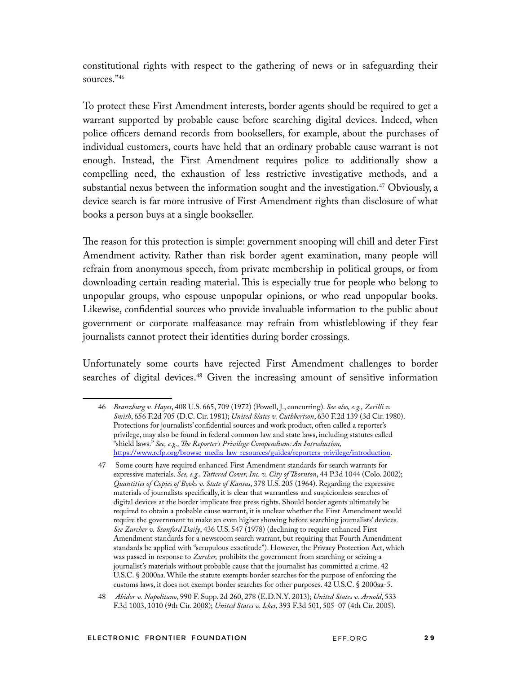constitutional rights with respect to the gathering of news or in safeguarding their sources."46

To protect these First Amendment interests, border agents should be required to get a warrant supported by probable cause before searching digital devices. Indeed, when police officers demand records from booksellers, for example, about the purchases of individual customers, courts have held that an ordinary probable cause warrant is not enough. Instead, the First Amendment requires police to additionally show a compelling need, the exhaustion of less restrictive investigative methods, and a substantial nexus between the information sought and the investigation.<sup>47</sup> Obviously, a device search is far more intrusive of First Amendment rights than disclosure of what books a person buys at a single bookseller.

The reason for this protection is simple: government snooping will chill and deter First Amendment activity. Rather than risk border agent examination, many people will refrain from anonymous speech, from private membership in political groups, or from downloading certain reading material. This is especially true for people who belong to unpopular groups, who espouse unpopular opinions, or who read unpopular books. Likewise, confdential sources who provide invaluable information to the public about government or corporate malfeasance may refrain from whistleblowing if they fear journalists cannot protect their identities during border crossings.

Unfortunately some courts have rejected First Amendment challenges to border searches of digital devices.<sup>48</sup> Given the increasing amount of sensitive information

<sup>46</sup> *Branzburg v. Hayes*, 408 U.S. 665, 709 (1972) (Powell, J., concurring). *See also, e.g., Zerilli v. Smith*, 656 F.2d 705 (D.C. Cir. 1981); *United Slates v. Cuthbertson*, 630 F.2d 139 (3d Cir. 1980). Protections for journalists' confdential sources and work product, often called a reporter's privilege, may also be found in federal common law and state laws, including statutes called "shield laws." *See, e.g., Te Reporter's Privilege Compendium: An Introduction,*  https://www.rcfp.org/browse-media-law-resources/guides/reporters-privilege/introduction.

<sup>47</sup> Some courts have required enhanced First Amendment standards for search warrants for expressive materials. *See, e.g., Tattered Cover, Inc. v. City of Tornton*, 44 P.3d 1044 (Colo. 2002); *Quantities of Copies of Books v. State of Kansas*, 378 U.S. 205 (1964). Regarding the expressive materials of journalists specifcally, it is clear that warrantless and suspicionless searches of digital devices at the border implicate free press rights. Should border agents ultimately be required to obtain a probable cause warrant, it is unclear whether the First Amendment would require the government to make an even higher showing before searching journalists' devices. *See Zurcher v. Stanford Daily*, 436 U.S. 547 (1978) (declining to require enhanced First Amendment standards for a newsroom search warrant, but requiring that Fourth Amendment standards be applied with "scrupulous exactitude"). However, the Privacy Protection Act, which was passed in response to *Zurcher,* prohibits the government from searching or seizing a journalist's materials without probable cause that the journalist has committed a crime. 42 U.S.C. § 2000aa. While the statute exempts border searches for the purpose of enforcing the customs laws, it does not exempt border searches for other purposes. 42 U.S.C. § 2000aa-5.

<sup>48</sup> *Abidor v. Napolitano*, 990 F. Supp. 2d 260, 278 (E.D.N.Y. 2013); *United States v. Arnold*, 533 F.3d 1003, 1010 (9th Cir. 2008); *United States v. Ickes*, 393 F.3d 501, 505–07 (4th Cir. 2005).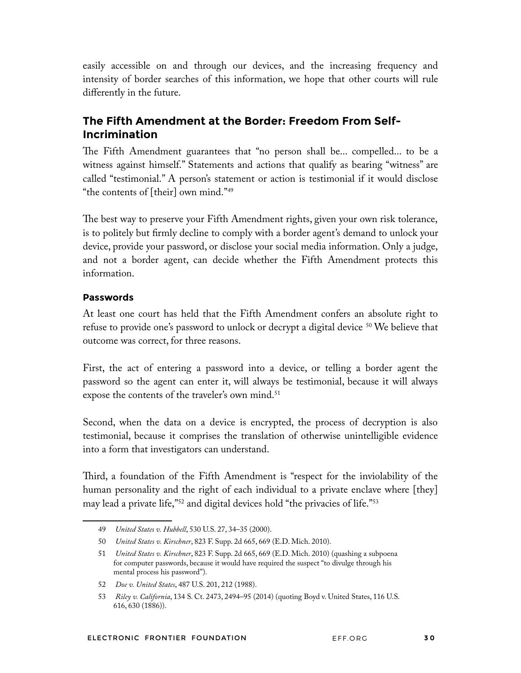easily accessible on and through our devices, and the increasing frequency and intensity of border searches of this information, we hope that other courts will rule differently in the future.

## **The Fifth Amendment at the Border: Freedom From Self-Incrimination**

The Fifth Amendment guarantees that "no person shall be... compelled... to be a witness against himself." Statements and actions that qualify as bearing "witness" are called "testimonial." A person's statement or action is testimonial if it would disclose "the contents of [their] own mind."49

The best way to preserve your Fifth Amendment rights, given your own risk tolerance, is to politely but frmly decline to comply with a border agent's demand to unlock your device, provide your password, or disclose your social media information. Only a judge, and not a border agent, can decide whether the Fifth Amendment protects this information.

#### **Passwords**

At least one court has held that the Fifth Amendment confers an absolute right to refuse to provide one's password to unlock or decrypt a digital device <sup>50</sup> We believe that outcome was correct, for three reasons.

First, the act of entering a password into a device, or telling a border agent the password so the agent can enter it, will always be testimonial, because it will always expose the contents of the traveler's own mind.<sup>51</sup>

Second, when the data on a device is encrypted, the process of decryption is also testimonial, because it comprises the translation of otherwise unintelligible evidence into a form that investigators can understand.

Third, a foundation of the Fifth Amendment is "respect for the inviolability of the human personality and the right of each individual to a private enclave where [they] may lead a private life,"52 and digital devices hold "the privacies of life."53

<sup>49</sup> *United States v. Hubbell*, 530 U.S. 27, 34–35 (2000).

<sup>50</sup> *United States v. Kirschner*, 823 F. Supp. 2d 665, 669 (E.D. Mich. 2010).

<sup>51</sup> *United States v. Kirschner*, 823 F. Supp. 2d 665, 669 (E.D. Mich. 2010) (quashing a subpoena for computer passwords, because it would have required the suspect "to divulge through his mental process his password").

<sup>52</sup> *Doe v. United States*, 487 U.S. 201, 212 (1988).

<sup>53</sup> *Riley v. California*, 134 S. Ct. 2473, 2494–95 (2014) (quoting Boyd v. United States, 116 U.S. 616, 630 (1886)).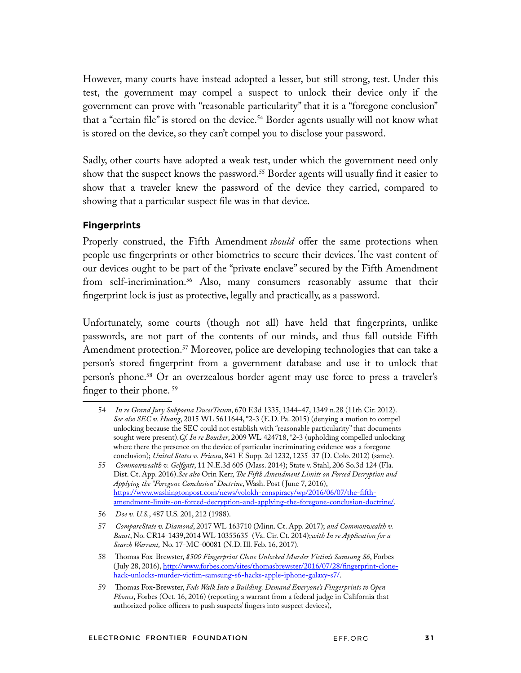However, many courts have instead adopted a lesser, but still strong, test. Under this test, the government may compel a suspect to unlock their device only if the government can prove with "reasonable particularity" that it is a "foregone conclusion" that a "certain file" is stored on the device.<sup>54</sup> Border agents usually will not know what is stored on the device, so they can't compel you to disclose your password.

Sadly, other courts have adopted a weak test, under which the government need only show that the suspect knows the password.<sup>55</sup> Border agents will usually find it easier to show that a traveler knew the password of the device they carried, compared to showing that a particular suspect fle was in that device.

#### **Fingerprints**

Properly construed, the Fifth Amendment *should* offer the same protections when people use fingerprints or other biometrics to secure their devices. The vast content of our devices ought to be part of the "private enclave" secured by the Fifth Amendment from self-incrimination.<sup>56</sup> Also, many consumers reasonably assume that their fngerprint lock is just as protective, legally and practically, as a password.

Unfortunately, some courts (though not all) have held that fngerprints, unlike passwords, are not part of the contents of our minds, and thus fall outside Fifth Amendment protection.<sup>57</sup> Moreover, police are developing technologies that can take a person's stored fngerprint from a government database and use it to unlock that person's phone.58 Or an overzealous border agent may use force to press a traveler's finger to their phone.<sup>59</sup>

<sup>54</sup> *In re Grand Jury Subpoena DucesTecum*, 670 F.3d 1335, 1344–47, 1349 n.28 (11th Cir. 2012). *See also SEC v. Huang*, 2015 WL 5611644, \*2-3 (E.D. Pa. 2015) (denying a motion to compel unlocking because the SEC could not establish with "reasonable particularity" that documents sought were present).*Cf. In re Boucher*, 2009 WL 424718, \*2-3 (upholding compelled unlocking where there the presence on the device of particular incriminating evidence was a foregone conclusion); *United States v. Fricosu*, 841 F. Supp. 2d 1232, 1235–37 (D. Colo. 2012) (same).

<sup>55</sup> *Commonwealth v. Gelfgatt*, 11 N.E.3d 605 (Mass. 2014); State v. Stahl, 206 So.3d 124 (Fla. Dist. Ct. App. 2016).*See also* Orin Kerr, *Te Fifth Amendment Limits on Forced Decryption and Applying the "Foregone Conclusion" Doctrine*, Wash. Post ( June 7, 2016), https://www.washingtonpost.com/news/volokh-conspiracy/wp/2016/06/07/the-ffthamendment-limits-on-forced-decryption-and-applying-the-foregone-conclusion-doctrine/.

<sup>56</sup> *Doe v. U.S.*, 487 U.S. 201, 212 (1988).

<sup>57</sup> *CompareState v. Diamond*, 2017 WL 163710 (Minn. Ct. App. 2017); *and Commonwealth v. Baust*, No. CR14-1439,2014 WL 10355635 (Va. Cir. Ct. 2014);*with In re Application for a Search Warrant,* No. 17-MC-00081 (N.D. Ill. Feb. 16, 2017).

<sup>58</sup> Tomas Fox-Brewster, *\$500 Fingerprint Clone Unlocked Murder Victim's Samsung S6*, Forbes ( July 28, 2016), http://www.forbes.com/sites/thomasbrewster/2016/07/28/fngerprint-clonehack-unlocks-murder-victim-samsung-s6-hacks-apple-iphone-galaxy-s7/.

<sup>59</sup> Thomas Fox-Brewster, *Feds Walk Into a Building*, Demand Everyone's Fingerprints to Open *Phones*, Forbes (Oct. 16, 2016) (reporting a warrant from a federal judge in California that authorized police officers to push suspects' fngers into suspect devices),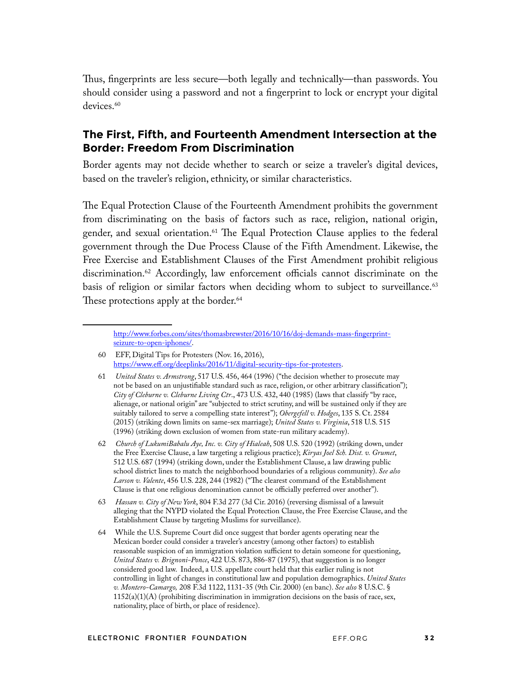Thus, fingerprints are less secure—both legally and technically—than passwords. You should consider using a password and not a fngerprint to lock or encrypt your digital devices.<sup>60</sup>

### **The First, Fifth, and Fourteenth Amendment Intersection at the Border: Freedom From Discrimination**

Border agents may not decide whether to search or seize a traveler's digital devices, based on the traveler's religion, ethnicity, or similar characteristics.

The Equal Protection Clause of the Fourteenth Amendment prohibits the government from discriminating on the basis of factors such as race, religion, national origin, gender, and sexual orientation.<sup>61</sup> The Equal Protection Clause applies to the federal government through the Due Process Clause of the Fifth Amendment. Likewise, the Free Exercise and Establishment Clauses of the First Amendment prohibit religious discrimination.<sup>62</sup> Accordingly, law enforcement officials cannot discriminate on the basis of religion or similar factors when deciding whom to subject to surveillance.<sup>63</sup> These protections apply at the border.<sup>64</sup>

- 60 EFF, Digital Tips for Protesters (Nov. 16, 2016), https://www.eff.org/deeplinks/2016/11/digital-security-tips-for-protesters.
- 61 *United States v. Armstrong*, 517 U.S. 456, 464 (1996) ("the decision whether to prosecute may not be based on an unjustifable standard such as race, religion, or other arbitrary classifcation"); *City of Cleburne v. Cleburne Living Ctr*., 473 U.S. 432, 440 (1985) (laws that classify "by race, alienage, or national origin" are "subjected to strict scrutiny, and will be sustained only if they are suitably tailored to serve a compelling state interest"); *Obergefell v. Hodges*, 135 S. Ct. 2584 (2015) (striking down limits on same-sex marriage); *United States v. Virginia*, 518 U.S. 515 (1996) (striking down exclusion of women from state-run military academy).
- 62 *Church of LukumiBabalu Aye, Inc. v. City of Hialeah*, 508 U.S. 520 (1992) (striking down, under the Free Exercise Clause, a law targeting a religious practice); *Kiryas Joel Sch. Dist. v. Grumet*, 512 U.S. 687 (1994) (striking down, under the Establishment Clause, a law drawing public school district lines to match the neighborhood boundaries of a religious community). *See also*  Larson v. Valente, 456 U.S. 228, 244 (1982) ("The clearest command of the Establishment Clause is that one religious denomination cannot be officially preferred over another").
- 63 *Hassan v. City of New York*, 804 F.3d 277 (3d Cir. 2016) (reversing dismissal of a lawsuit alleging that the NYPD violated the Equal Protection Clause, the Free Exercise Clause, and the Establishment Clause by targeting Muslims for surveillance).
- 64 While the U.S. Supreme Court did once suggest that border agents operating near the Mexican border could consider a traveler's ancestry (among other factors) to establish reasonable suspicion of an immigration violation sufficient to detain someone for questioning, *United States v. Brignoni-Ponce*, 422 U.S. 873, 886-87 (1975), that suggestion is no longer considered good law. Indeed, a U.S. appellate court held that this earlier ruling is not controlling in light of changes in constitutional law and population demographics. *United States v. Montero-Camargo,* 208 F.3d 1122, 1131-35 (9th Cir. 2000) (en banc). *See also* 8 U.S.C. §  $1152(a)(1)(A)$  (prohibiting discrimination in immigration decisions on the basis of race, sex, nationality, place of birth, or place of residence).

http://www.forbes.com/sites/thomasbrewster/2016/10/16/doj-demands-mass-fngerprintseizure-to-open-iphones/.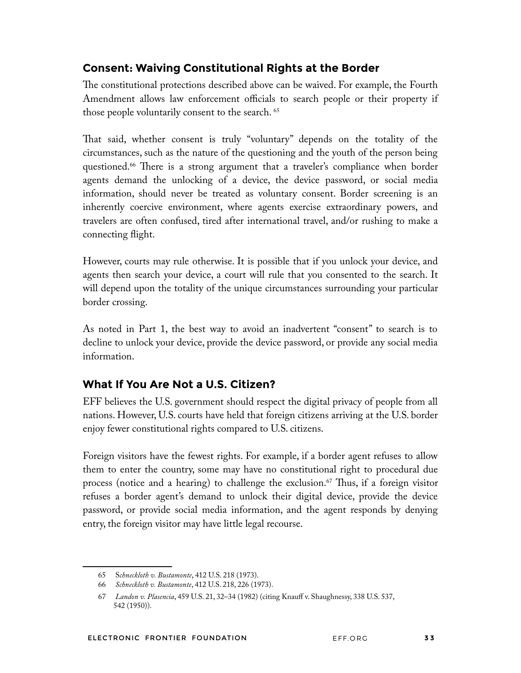## **Consent: Waiving Constitutional Rights at the Border**

The constitutional protections described above can be waived. For example, the Fourth Amendment allows law enforcement officials to search people or their property if those people voluntarily consent to the search.<sup>65</sup>

That said, whether consent is truly "voluntary" depends on the totality of the circumstances, such as the nature of the questioning and the youth of the person being questioned.<sup>66</sup> There is a strong argument that a traveler's compliance when border agents demand the unlocking of a device, the device password, or social media information, should never be treated as voluntary consent. Border screening is an inherently coercive environment, where agents exercise extraordinary powers, and travelers are often confused, tired after international travel, and/or rushing to make a connecting fight.

However, courts may rule otherwise. It is possible that if you unlock your device, and agents then search your device, a court will rule that you consented to the search. It will depend upon the totality of the unique circumstances surrounding your particular border crossing.

As noted in Part 1, the best way to avoid an inadvertent "consent" to search is to decline to unlock your device, provide the device password, or provide any social media information.

## **What If You Are Not a U.S. Citizen?**

EFF believes the U.S. government should respect the digital privacy of people from all nations. However, U.S. courts have held that foreign citizens arriving at the U.S. border enjoy fewer constitutional rights compared to U.S. citizens.

Foreign visitors have the fewest rights. For example, if a border agent refuses to allow them to enter the country, some may have no constitutional right to procedural due process (notice and a hearing) to challenge the exclusion.<sup>67</sup> Thus, if a foreign visitor refuses a border agent's demand to unlock their digital device, provide the device password, or provide social media information, and the agent responds by denying entry, the foreign visitor may have little legal recourse.

<sup>65</sup> S*chneckloth v. Bustamonte*, 412 U.S. 218 (1973).

<sup>66</sup> *Schneckloth v. Bustamonte*, 412 U.S. 218, 226 (1973).

<sup>67</sup> *Landon v. Plasencia*, 459 U.S. 21, 32–34 (1982) (citing Knauff v. Shaughnessy, 338 U.S. 537, 542 (1950)).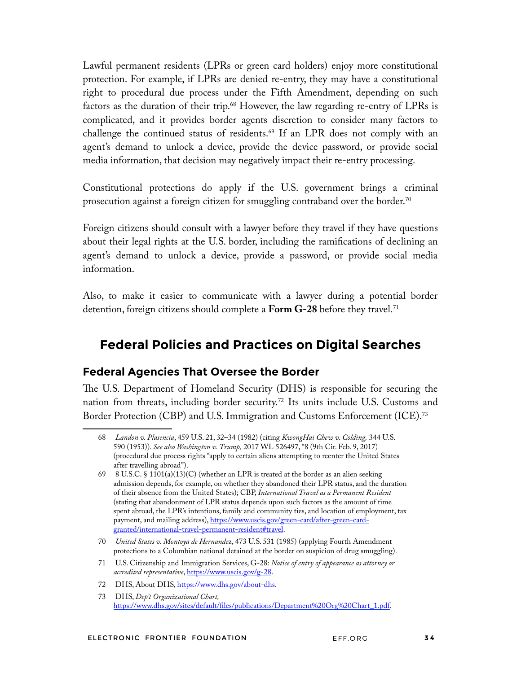Lawful permanent residents (LPRs or green card holders) enjoy more constitutional protection. For example, if LPRs are denied re-entry, they may have a constitutional right to procedural due process under the Fifth Amendment, depending on such factors as the duration of their trip.<sup>68</sup> However, the law regarding re-entry of LPRs is complicated, and it provides border agents discretion to consider many factors to challenge the continued status of residents.<sup>69</sup> If an LPR does not comply with an agent's demand to unlock a device, provide the device password, or provide social media information, that decision may negatively impact their re-entry processing.

Constitutional protections do apply if the U.S. government brings a criminal prosecution against a foreign citizen for smuggling contraband over the border.<sup>70</sup>

Foreign citizens should consult with a lawyer before they travel if they have questions about their legal rights at the U.S. border, including the ramifcations of declining an agent's demand to unlock a device, provide a password, or provide social media information.

Also, to make it easier to communicate with a lawyer during a potential border detention, foreign citizens should complete a **Form G-28** before they travel.71

# **Federal Policies and Practices on Digital Searches**

#### **Federal Agencies That Oversee the Border**

The U.S. Department of Homeland Security (DHS) is responsible for securing the nation from threats, including border security.72 Its units include U.S. Customs and Border Protection (CBP) and U.S. Immigration and Customs Enforcement (ICE).73

<sup>68</sup> *Landon v. Plasencia*, 459 U.S. 21, 32–34 (1982) (citing *KwongHai Chew v. Colding,* 344 U.S. 590 (1953)). *See also Washington v. Trump,* 2017 WL 526497, \*8 (9th Cir. Feb. 9, 2017) (procedural due process rights "apply to certain aliens attempting to reenter the United States after travelling abroad").

<sup>69 8</sup> U.S.C. § 1101(a)(13)(C) (whether an LPR is treated at the border as an alien seeking admission depends, for example, on whether they abandoned their LPR status, and the duration of their absence from the United States); CBP, *International Travel as a Permanent Resident* (stating that abandonment of LPR status depends upon such factors as the amount of time spent abroad, the LPR's intentions, family and community ties, and location of employment, tax payment, and mailing address), https://www.uscis.gov/green-card/after-green-cardgranted/international-travel-permanent-resident#travel.

<sup>70</sup> *United States v. Montoya de Hernande*z, 473 U.S. 531 (1985) (applying Fourth Amendment protections to a Columbian national detained at the border on suspicion of drug smuggling).

<sup>71</sup> U.S. Citizenship and Immigration Services, G-28: *Notice of entry of appearance as attorney or accredited representative*, https://www.uscis.gov/g-28.

<sup>72</sup> DHS, About DHS, https://www.dhs.gov/about-dhs.

<sup>73</sup> DHS, *Dep't Organizational Chart,* https://www.dhs.gov/sites/default/fles/publications/Department%20Org%20Chart\_1.pdf.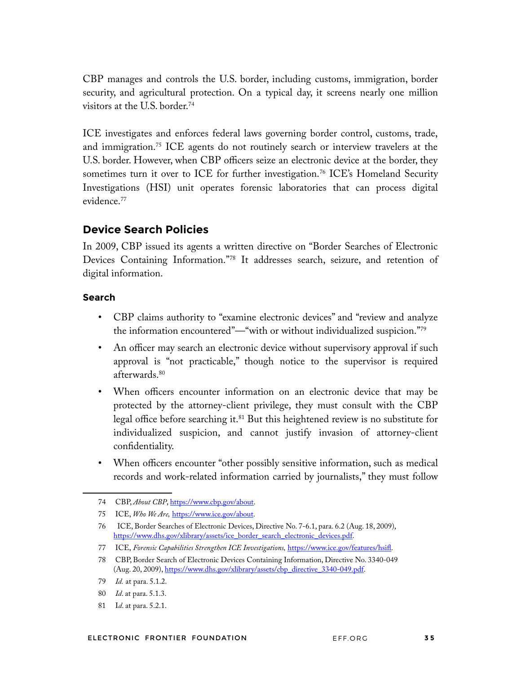CBP manages and controls the U.S. border, including customs, immigration, border security, and agricultural protection. On a typical day, it screens nearly one million visitors at the U.S. border.74

ICE investigates and enforces federal laws governing border control, customs, trade, and immigration.75 ICE agents do not routinely search or interview travelers at the U.S. border. However, when CBP officers seize an electronic device at the border, they sometimes turn it over to ICE for further investigation.<sup>76</sup> ICE's Homeland Security Investigations (HSI) unit operates forensic laboratories that can process digital evidence.77

#### **Device Search Policies**

In 2009, CBP issued its agents a written directive on "Border Searches of Electronic Devices Containing Information."78 It addresses search, seizure, and retention of digital information.

#### **Search**

- CBP claims authority to "examine electronic devices" and "review and analyze the information encountered"—"with or without individualized suspicion."79
- An officer may search an electronic device without supervisory approval if such approval is "not practicable," though notice to the supervisor is required afterwards.<sup>80</sup>
- When officers encounter information on an electronic device that may be protected by the attorney-client privilege, they must consult with the CBP legal office before searching it.<sup>81</sup> But this heightened review is no substitute for individualized suspicion, and cannot justify invasion of attorney-client confdentiality.
- When officers encounter "other possibly sensitive information, such as medical records and work-related information carried by journalists," they must follow

<sup>74</sup> CBP, *About CBP*, https://www.cbp.gov/about.

<sup>75</sup> ICE, *Who We Are,* https://www.ice.gov/about.

<sup>76</sup> ICE, Border Searches of Electronic Devices, Directive No. 7-6.1, para. 6.2 (Aug. 18, 2009), https://www.dhs.gov/xlibrary/assets/ice\_border\_search\_electronic\_devices.pdf.

<sup>77</sup> ICE, *Forensic Capabilities Strengthen ICE Investigations,* https://www.ice.gov/features/hsif.

<sup>78</sup> CBP, Border Search of Electronic Devices Containing Information, Directive No. 3340-049 (Aug. 20, 2009), https://www.dhs.gov/xlibrary/assets/cbp\_directive\_3340-049.pdf.

<sup>79</sup> *Id.* at para. 5.1.2.

<sup>80</sup> *Id*. at para. 5.1.3.

<sup>81</sup> I*d*. at para. 5.2.1.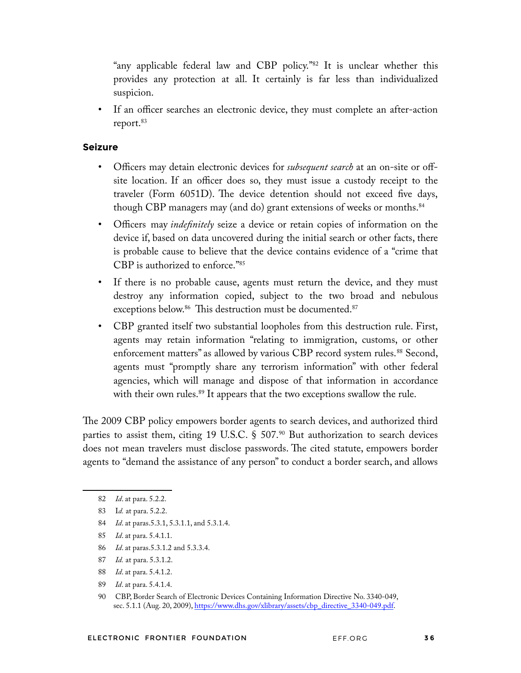"any applicable federal law and CBP policy."<sup>82</sup> It is unclear whether this provides any protection at all. It certainly is far less than individualized suspicion.

• If an officer searches an electronic device, they must complete an after-action report.<sup>83</sup>

#### **Seizure**

- Officers may detain electronic devices for *subsequent search* at an on-site or offsite location. If an officer does so, they must issue a custody receipt to the traveler (Form 6051D). The device detention should not exceed five days, though CBP managers may (and do) grant extensions of weeks or months.<sup>84</sup>
- Officers may *indefnitely* seize a device or retain copies of information on the device if, based on data uncovered during the initial search or other facts, there is probable cause to believe that the device contains evidence of a "crime that CBP is authorized to enforce."85
- If there is no probable cause, agents must return the device, and they must destroy any information copied, subject to the two broad and nebulous exceptions below.<sup>86</sup> This destruction must be documented.<sup>87</sup>
- CBP granted itself two substantial loopholes from this destruction rule. First, agents may retain information "relating to immigration, customs, or other enforcement matters" as allowed by various CBP record system rules.<sup>88</sup> Second, agents must "promptly share any terrorism information" with other federal agencies, which will manage and dispose of that information in accordance with their own rules.<sup>89</sup> It appears that the two exceptions swallow the rule.

The 2009 CBP policy empowers border agents to search devices, and authorized third parties to assist them, citing 19 U.S.C.  $\S$  507. $90$  But authorization to search devices does not mean travelers must disclose passwords. The cited statute, empowers border agents to "demand the assistance of any person" to conduct a border search, and allows

- 84 *Id*. at paras.5.3.1, 5.3.1.1, and 5.3.1.4.
- 85 *Id*. at para. 5.4.1.1.
- 86 *Id*. at paras.5.3.1.2 and 5.3.3.4.
- 87 *Id.* at para. 5.3.1.2.
- 88 *Id*. at para. 5.4.1.2.
- 89 *Id*. at para. 5.4.1.4.

<sup>82</sup> *Id*. at para. 5.2.2.

<sup>83</sup> I*d.* at para. 5.2.2.

<sup>90</sup> CBP, Border Search of Electronic Devices Containing Information Directive No. 3340-049, sec. 5.1.1 (Aug. 20, 2009), https://www.dhs.gov/xlibrary/assets/cbp\_directive\_3340-049.pdf.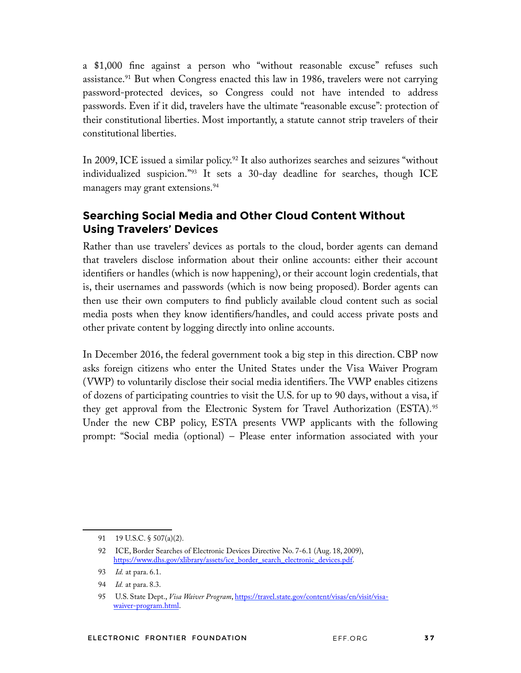a \$1,000 fne against a person who "without reasonable excuse" refuses such assistance.<sup>91</sup> But when Congress enacted this law in 1986, travelers were not carrying password-protected devices, so Congress could not have intended to address passwords. Even if it did, travelers have the ultimate "reasonable excuse": protection of their constitutional liberties. Most importantly, a statute cannot strip travelers of their constitutional liberties.

In 2009, ICE issued a similar policy.<sup>92</sup> It also authorizes searches and seizures "without individualized suspicion."93 It sets a 30-day deadline for searches, though ICE managers may grant extensions.<sup>94</sup>

## **Searching Social Media and Other Cloud Content Without Using Travelers' Devices**

Rather than use travelers' devices as portals to the cloud, border agents can demand that travelers disclose information about their online accounts: either their account identifers or handles (which is now happening), or their account login credentials, that is, their usernames and passwords (which is now being proposed). Border agents can then use their own computers to fnd publicly available cloud content such as social media posts when they know identifers/handles, and could access private posts and other private content by logging directly into online accounts.

In December 2016, the federal government took a big step in this direction. CBP now asks foreign citizens who enter the United States under the Visa Waiver Program (VWP) to voluntarily disclose their social media identifiers. The VWP enables citizens of dozens of participating countries to visit the U.S. for up to 90 days, without a visa, if they get approval from the Electronic System for Travel Authorization (ESTA).<sup>95</sup> Under the new CBP policy, ESTA presents VWP applicants with the following prompt: "Social media (optional) – Please enter information associated with your

<sup>91 19</sup> U.S.C. § 507(a)(2).

<sup>92</sup> ICE, Border Searches of Electronic Devices Directive No. 7-6.1 (Aug. 18, 2009), https://www.dhs.gov/xlibrary/assets/ice\_border\_search\_electronic\_devices.pdf.

<sup>93</sup> *Id.* at para. 6.1.

<sup>94</sup> *Id.* at para. 8.3.

<sup>95</sup> U.S. State Dept., *Visa Waiver Program*, https://travel.state.gov/content/visas/en/visit/visawaiver-program.html.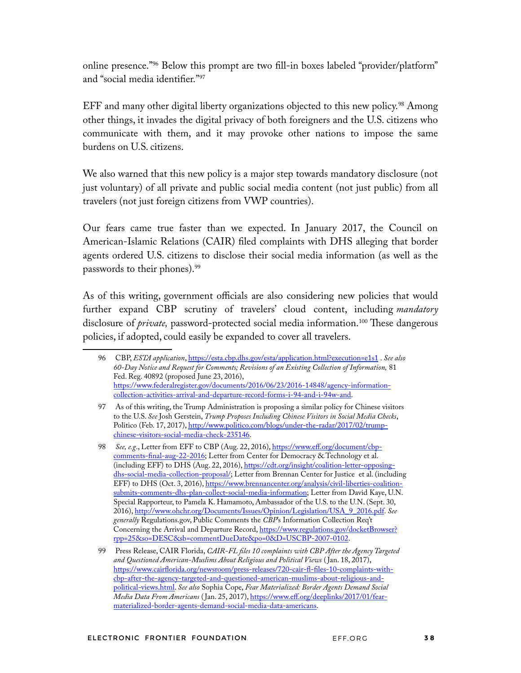online presence."96 Below this prompt are two fll-in boxes labeled "provider/platform" and "social media identifer."97

EFF and many other digital liberty organizations objected to this new policy.<sup>98</sup> Among other things, it invades the digital privacy of both foreigners and the U.S. citizens who communicate with them, and it may provoke other nations to impose the same burdens on U.S. citizens.

We also warned that this new policy is a major step towards mandatory disclosure (not just voluntary) of all private and public social media content (not just public) from all travelers (not just foreign citizens from VWP countries).

Our fears came true faster than we expected. In January 2017, the Council on American-Islamic Relations (CAIR) fled complaints with DHS alleging that border agents ordered U.S. citizens to disclose their social media information (as well as the passwords to their phones).99

As of this writing, government officials are also considering new policies that would further expand CBP scrutiny of travelers' cloud content, including *mandatory* disclosure of *private*, password-protected social media information.<sup>100</sup> These dangerous policies, if adopted, could easily be expanded to cover all travelers.

<sup>96</sup> CBP, *ESTA application*, https://esta.cbp.dhs.gov/esta/application.html?execution=e1s1 . *See also 60-Day Notice and Request for Comments; Revisions of an Existing Collection of Information,* 81 Fed. Reg. 40892 (proposed June 23, 2016), https://www.federalregister.gov/documents/2016/06/23/2016-14848/agency-informationcollection-activities-arrival-and-departure-record-forms-i-94-and-i-94w-and.

<sup>97</sup> As of this writing, the Trump Administration is proposing a similar policy for Chinese visitors to the U.S. *See* Josh Gerstein, *Trump Proposes Including Chinese Visitors in Social Media Checks*, Politico (Feb. 17, 2017), http://www.politico.com/blogs/under-the-radar/2017/02/trumpchinese-visitors-social-media-check-235146.

<sup>98</sup> *See, e.g.*, Letter from EFF to CBP (Aug. 22, 2016), https://www.eff.org/document/cbpcomments-fnal-aug-22-2016; Letter from Center for Democracy & Technology et al. (including EFF) to DHS (Aug. 22, 2016), https://cdt.org/insight/coalition-letter-opposingdhs-social-media-collection-proposal/; Letter from Brennan Center for Justice et al. (including EFF) to DHS (Oct. 3, 2016), https://www.brennancenter.org/analysis/civil-liberties-coalitionsubmits-comments-dhs-plan-collect-social-media-information; Letter from David Kaye, U.N. Special Rapporteur, to Pamela K. Hamamoto, Ambassador of the U.S. to the U.N. (Sept. 30, 2016), http://www.ohchr.org/Documents/Issues/Opinion/Legislation/USA\_9\_2016.pdf. *See generally* Regulations.gov, Public Comments the *CBP*'s Information Collection Req't Concerning the Arrival and Departure Record, https://www.regulations.gov/docketBrowser? rpp=25&so=DESC&sb=commentDueDate&po=0&D=USCBP-2007-0102.

<sup>99</sup> Press Release, CAIR Florida, *CAIR-FL fles 10 complaints with CBP After the Agency Targeted and Questioned American-Muslims About Religious and Political Views* ( Jan. 18, 2017), https://www.cairforida.org/newsroom/press-releases/720-cair-f-fles-10-complaints-withcbp-after-the-agency-targeted-and-questioned-american-muslims-about-religious-andpolitical-views.html. *See also* Sophia Cope, *Fear Materialized: Border Agents Demand Social Media Data From Americans* ( Jan. 25, 2017), https://www.eff.org/deeplinks/2017/01/fearmaterialized-border-agents-demand-social-media-data-americans.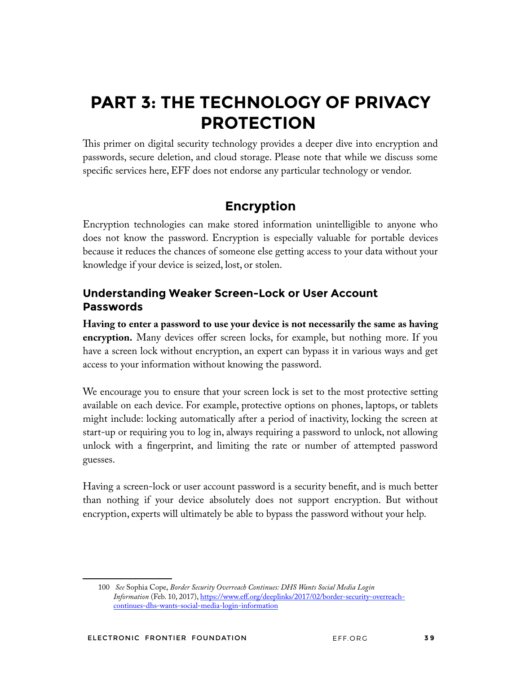# **PART 3: THE TECHNOLOGY OF PRIVACY PROTECTION**

This primer on digital security technology provides a deeper dive into encryption and passwords, secure deletion, and cloud storage. Please note that while we discuss some specifc services here, EFF does not endorse any particular technology or vendor.

# **Encryption**

Encryption technologies can make stored information unintelligible to anyone who does not know the password. Encryption is especially valuable for portable devices because it reduces the chances of someone else getting access to your data without your knowledge if your device is seized, lost, or stolen.

## **Understanding Weaker Screen-Lock or User Account Passwords**

**Having to enter a password to use your device is not necessarily the same as having encryption.** Many devices offer screen locks, for example, but nothing more. If you have a screen lock without encryption, an expert can bypass it in various ways and get access to your information without knowing the password.

We encourage you to ensure that your screen lock is set to the most protective setting available on each device. For example, protective options on phones, laptops, or tablets might include: locking automatically after a period of inactivity, locking the screen at start-up or requiring you to log in, always requiring a password to unlock, not allowing unlock with a fngerprint, and limiting the rate or number of attempted password guesses.

Having a screen-lock or user account password is a security beneft, and is much better than nothing if your device absolutely does not support encryption. But without encryption, experts will ultimately be able to bypass the password without your help.

<sup>100</sup> *See* Sophia Cope, *Border Security Overreach Continues: DHS Wants Social Media Login Information* (Feb. 10, 2017), https://www.eff.org/deeplinks/2017/02/border-security-overreachcontinues-dhs-wants-social-media-login-information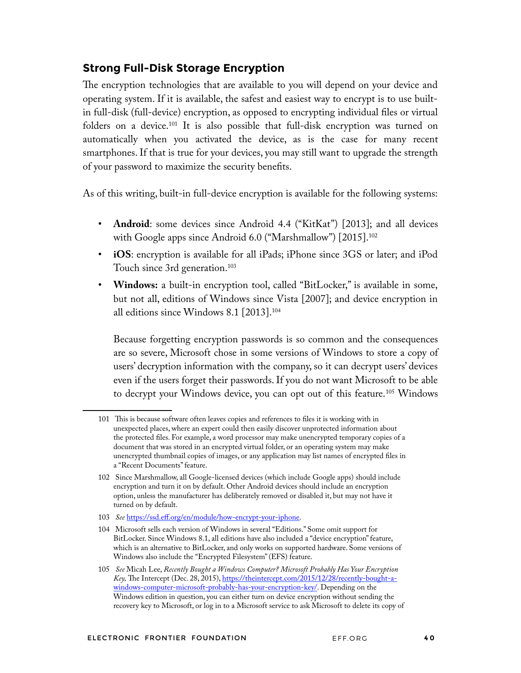## **Strong Full-Disk Storage Encryption**

The encryption technologies that are available to you will depend on your device and operating system. If it is available, the safest and easiest way to encrypt is to use builtin full-disk (full-device) encryption, as opposed to encrypting individual fles or virtual folders on a device.101 It is also possible that full-disk encryption was turned on automatically when you activated the device, as is the case for many recent smartphones. If that is true for your devices, you may still want to upgrade the strength of your password to maximize the security benefts.

As of this writing, built-in full-device encryption is available for the following systems:

- **Android**: some devices since Android 4.4 ("KitKat") [2013]; and all devices with Google apps since Android 6.0 ("Marshmallow") [2015].<sup>102</sup>
- **iOS**: encryption is available for all iPads; iPhone since 3GS or later; and iPod Touch since 3rd generation.<sup>103</sup>
- **Windows:** a built-in encryption tool, called "BitLocker," is available in some, but not all, editions of Windows since Vista [2007]; and device encryption in all editions since Windows 8.1 [2013].104

Because forgetting encryption passwords is so common and the consequences are so severe, Microsoft chose in some versions of Windows to store a copy of users' decryption information with the company, so it can decrypt users' devices even if the users forget their passwords. If you do not want Microsoft to be able to decrypt your Windows device, you can opt out of this feature.105 Windows

<sup>101</sup> Tis is because software often leaves copies and references to fles it is working with in unexpected places, where an expert could then easily discover unprotected information about the protected fles. For example, a word processor may make unencrypted temporary copies of a document that was stored in an encrypted virtual folder, or an operating system may make unencrypted thumbnail copies of images, or any application may list names of encrypted fles in a "Recent Documents" feature.

<sup>102</sup> Since Marshmallow, all Google-licensed devices (which include Google apps) should include encryption and turn it on by default. Other Android devices should include an encryption option, unless the manufacturer has deliberately removed or disabled it, but may not have it turned on by default.

<sup>103</sup> *See* https://ssd.eff.org/en/module/how-encrypt-your-iphone.

<sup>104</sup> Microsoft sells each version of Windows in several "Editions." Some omit support for BitLocker. Since Windows 8.1, all editions have also included a "device encryption" feature, which is an alternative to BitLocker, and only works on supported hardware. Some versions of Windows also include the "Encrypted Filesystem" (EFS) feature.

<sup>105</sup> *See* Micah Lee, *Recently Bought a Windows Computer? Microsoft Probably Has Your Encryption Key*, The Intercept (Dec. 28, 2015), https://theintercept.com/2015/12/28/recently-bought-awindows-computer-microsoft-probably-has-your-encryption-key/. Depending on the Windows edition in question, you can either turn on device encryption without sending the recovery key to Microsoft, or log in to a Microsoft service to ask Microsoft to delete its copy of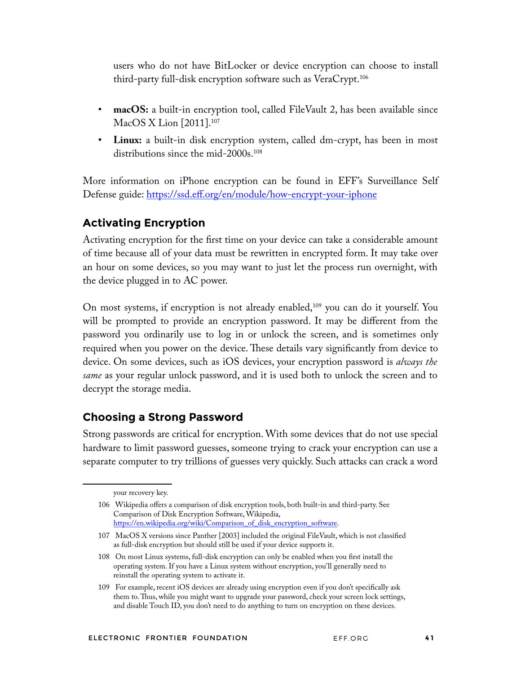users who do not have BitLocker or device encryption can choose to install third-party full-disk encryption software such as VeraCrypt.106

- **macOS:** a built-in encryption tool, called FileVault 2, has been available since MacOS X Lion [2011].107
- **Linux:** a built-in disk encryption system, called dm-crypt, has been in most distributions since the mid-2000s.108

More information on iPhone encryption can be found in EFF's Surveillance Self Defense guide: https://ssd.eff.org/en/module/how-encrypt-your-iphone

## **Activating Encryption**

Activating encryption for the frst time on your device can take a considerable amount of time because all of your data must be rewritten in encrypted form. It may take over an hour on some devices, so you may want to just let the process run overnight, with the device plugged in to AC power.

On most systems, if encryption is not already enabled,<sup>109</sup> you can do it yourself. You will be prompted to provide an encryption password. It may be different from the password you ordinarily use to log in or unlock the screen, and is sometimes only required when you power on the device. These details vary significantly from device to device. On some devices, such as iOS devices, your encryption password is *always the same* as your regular unlock password, and it is used both to unlock the screen and to decrypt the storage media.

## **Choosing a Strong Password**

Strong passwords are critical for encryption. With some devices that do not use special hardware to limit password guesses, someone trying to crack your encryption can use a separate computer to try trillions of guesses very quickly. Such attacks can crack a word

your recovery key.

<sup>106</sup> Wikipedia offers a comparison of disk encryption tools, both built-in and third-party. See Comparison of Disk Encryption Software, Wikipedia, https://en.wikipedia.org/wiki/Comparison\_of\_disk\_encryption\_software.

<sup>107</sup> MacOS X versions since Panther [2003] included the original FileVault, which is not classifed as full-disk encryption but should still be used if your device supports it.

<sup>108</sup> On most Linux systems, full-disk encryption can only be enabled when you frst install the operating system. If you have a Linux system without encryption, you'll generally need to reinstall the operating system to activate it.

<sup>109</sup> For example, recent iOS devices are already using encryption even if you don't specifcally ask them to. Thus, while you might want to upgrade your password, check your screen lock settings, and disable Touch ID, you don't need to do anything to turn on encryption on these devices.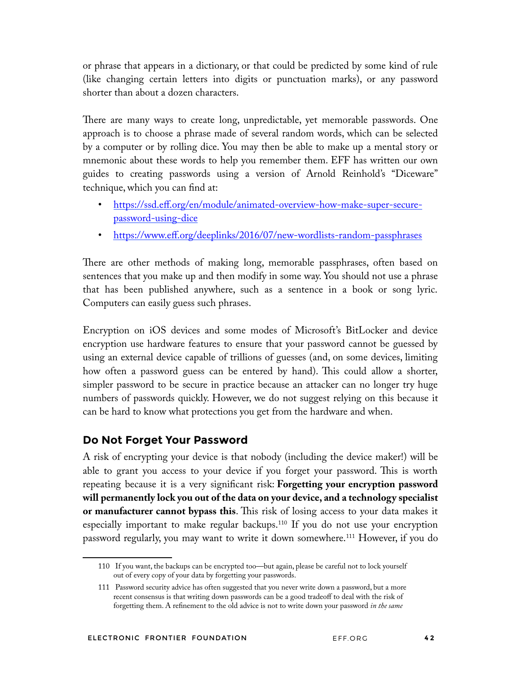or phrase that appears in a dictionary, or that could be predicted by some kind of rule (like changing certain letters into digits or punctuation marks), or any password shorter than about a dozen characters.

There are many ways to create long, unpredictable, yet memorable passwords. One approach is to choose a phrase made of several random words, which can be selected by a computer or by rolling dice. You may then be able to make up a mental story or mnemonic about these words to help you remember them. EFF has written our own guides to creating passwords using a version of Arnold Reinhold's "Diceware" technique, which you can fnd at:

- https://ssd.eff.org/en/module/animated-overview-how-make-super-securepassword-using-dice
- https://www.eff.org/deeplinks/2016/07/new-wordlists-random-passphrases

There are other methods of making long, memorable passphrases, often based on sentences that you make up and then modify in some way. You should not use a phrase that has been published anywhere, such as a sentence in a book or song lyric. Computers can easily guess such phrases.

Encryption on iOS devices and some modes of Microsoft's BitLocker and device encryption use hardware features to ensure that your password cannot be guessed by using an external device capable of trillions of guesses (and, on some devices, limiting how often a password guess can be entered by hand). This could allow a shorter, simpler password to be secure in practice because an attacker can no longer try huge numbers of passwords quickly. However, we do not suggest relying on this because it can be hard to know what protections you get from the hardware and when.

## **Do Not Forget Your Password**

A risk of encrypting your device is that nobody (including the device maker!) will be able to grant you access to your device if you forget your password. This is worth repeating because it is a very signifcant risk: **Forgetting your encryption password will permanently lock you out of the data on your device, and a technology specialist or manufacturer cannot bypass this.** This risk of losing access to your data makes it especially important to make regular backups.<sup>110</sup> If you do not use your encryption password regularly, you may want to write it down somewhere.111 However, if you do

<sup>110</sup> If you want, the backups can be encrypted too—but again, please be careful not to lock yourself out of every copy of your data by forgetting your passwords.

<sup>111</sup> Password security advice has often suggested that you never write down a password, but a more recent consensus is that writing down passwords can be a good tradeoff to deal with the risk of forgetting them. A refnement to the old advice is not to write down your password *in the same*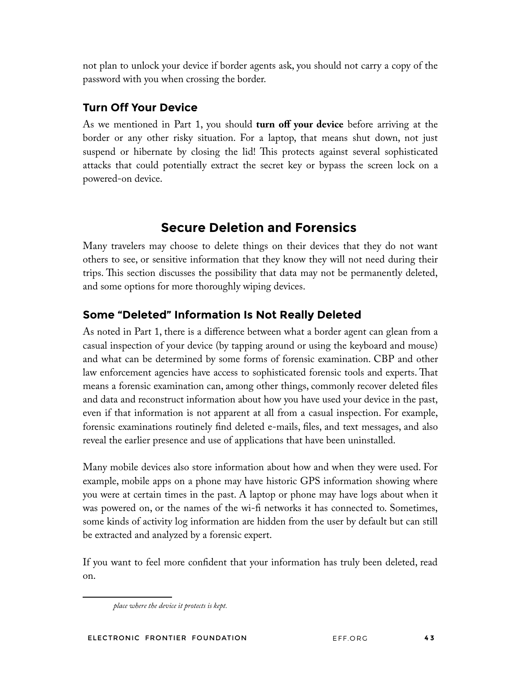not plan to unlock your device if border agents ask, you should not carry a copy of the password with you when crossing the border.

## **Turn Off Your Device**

As we mentioned in Part 1, you should **turn off your device** before arriving at the border or any other risky situation. For a laptop, that means shut down, not just suspend or hibernate by closing the lid! This protects against several sophisticated attacks that could potentially extract the secret key or bypass the screen lock on a powered-on device.

# **Secure Deletion and Forensics**

Many travelers may choose to delete things on their devices that they do not want others to see, or sensitive information that they know they will not need during their trips. This section discusses the possibility that data may not be permanently deleted, and some options for more thoroughly wiping devices.

## **Some "Deleted" Information Is Not Really Deleted**

As noted in Part 1, there is a difference between what a border agent can glean from a casual inspection of your device (by tapping around or using the keyboard and mouse) and what can be determined by some forms of forensic examination. CBP and other law enforcement agencies have access to sophisticated forensic tools and experts. Tat means a forensic examination can, among other things, commonly recover deleted fles and data and reconstruct information about how you have used your device in the past, even if that information is not apparent at all from a casual inspection. For example, forensic examinations routinely fnd deleted e-mails, fles, and text messages, and also reveal the earlier presence and use of applications that have been uninstalled.

Many mobile devices also store information about how and when they were used. For example, mobile apps on a phone may have historic GPS information showing where you were at certain times in the past. A laptop or phone may have logs about when it was powered on, or the names of the wi-f networks it has connected to. Sometimes, some kinds of activity log information are hidden from the user by default but can still be extracted and analyzed by a forensic expert.

If you want to feel more confdent that your information has truly been deleted, read on.

*place where the device it protects is kept.*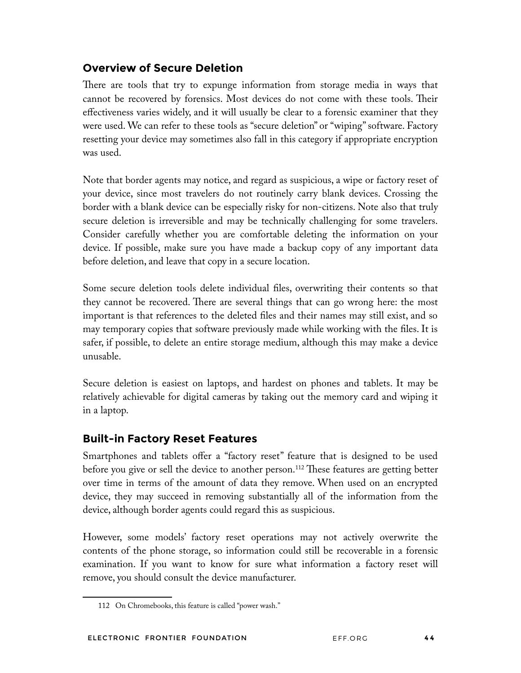## **Overview of Secure Deletion**

There are tools that try to expunge information from storage media in ways that cannot be recovered by forensics. Most devices do not come with these tools. Teir effectiveness varies widely, and it will usually be clear to a forensic examiner that they were used. We can refer to these tools as "secure deletion" or "wiping" software. Factory resetting your device may sometimes also fall in this category if appropriate encryption was used.

Note that border agents may notice, and regard as suspicious, a wipe or factory reset of your device, since most travelers do not routinely carry blank devices. Crossing the border with a blank device can be especially risky for non-citizens. Note also that truly secure deletion is irreversible and may be technically challenging for some travelers. Consider carefully whether you are comfortable deleting the information on your device. If possible, make sure you have made a backup copy of any important data before deletion, and leave that copy in a secure location.

Some secure deletion tools delete individual fles, overwriting their contents so that they cannot be recovered. There are several things that can go wrong here: the most important is that references to the deleted fles and their names may still exist, and so may temporary copies that software previously made while working with the fles. It is safer, if possible, to delete an entire storage medium, although this may make a device unusable.

Secure deletion is easiest on laptops, and hardest on phones and tablets. It may be relatively achievable for digital cameras by taking out the memory card and wiping it in a laptop.

## **Built-in Factory Reset Features**

Smartphones and tablets offer a "factory reset" feature that is designed to be used before you give or sell the device to another person.<sup>112</sup> These features are getting better over time in terms of the amount of data they remove. When used on an encrypted device, they may succeed in removing substantially all of the information from the device, although border agents could regard this as suspicious.

However, some models' factory reset operations may not actively overwrite the contents of the phone storage, so information could still be recoverable in a forensic examination. If you want to know for sure what information a factory reset will remove, you should consult the device manufacturer.

<sup>112</sup> On Chromebooks, this feature is called "power wash."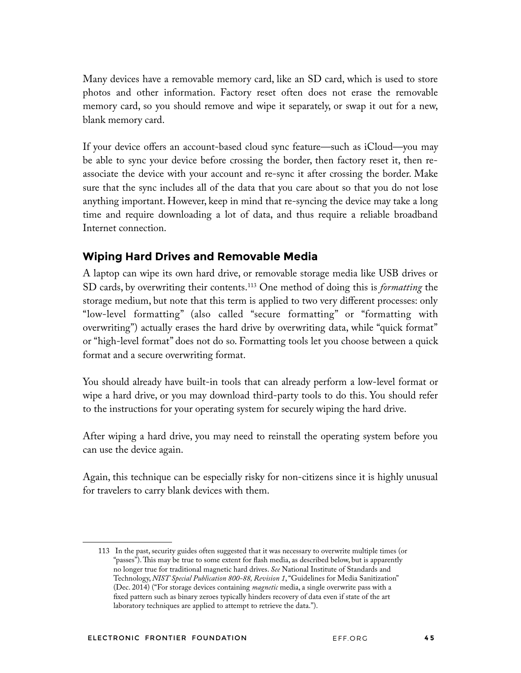Many devices have a removable memory card, like an SD card, which is used to store photos and other information. Factory reset often does not erase the removable memory card, so you should remove and wipe it separately, or swap it out for a new, blank memory card.

If your device offers an account-based cloud sync feature—such as iCloud—you may be able to sync your device before crossing the border, then factory reset it, then reassociate the device with your account and re-sync it after crossing the border. Make sure that the sync includes all of the data that you care about so that you do not lose anything important. However, keep in mind that re-syncing the device may take a long time and require downloading a lot of data, and thus require a reliable broadband Internet connection.

## **Wiping Hard Drives and Removable Media**

A laptop can wipe its own hard drive, or removable storage media like USB drives or SD cards, by overwriting their contents.113 One method of doing this is *formatting* the storage medium, but note that this term is applied to two very different processes: only "low-level formatting" (also called "secure formatting" or "formatting with overwriting") actually erases the hard drive by overwriting data, while "quick format" or "high-level format" does not do so. Formatting tools let you choose between a quick format and a secure overwriting format.

You should already have built-in tools that can already perform a low-level format or wipe a hard drive, or you may download third-party tools to do this. You should refer to the instructions for your operating system for securely wiping the hard drive.

After wiping a hard drive, you may need to reinstall the operating system before you can use the device again.

Again, this technique can be especially risky for non-citizens since it is highly unusual for travelers to carry blank devices with them.

<sup>113</sup> In the past, security guides often suggested that it was necessary to overwrite multiple times (or "passes"). This may be true to some extent for flash media, as described below, but is apparently no longer true for traditional magnetic hard drives. *See* National Institute of Standards and Technology, *NIST Special Publication 800-88, Revision 1*, "Guidelines for Media Sanitization" (Dec. 2014) ("For storage devices containing *magnetic* media, a single overwrite pass with a fxed pattern such as binary zeroes typically hinders recovery of data even if state of the art laboratory techniques are applied to attempt to retrieve the data.").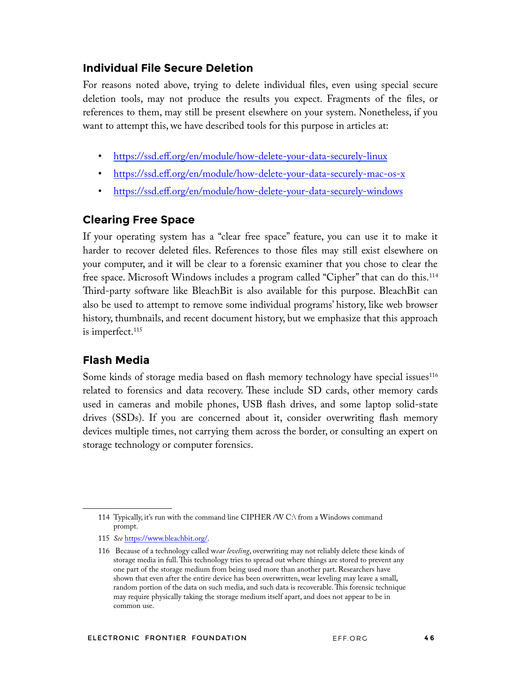### **Individual File Secure Deletion**

For reasons noted above, trying to delete individual fles, even using special secure deletion tools, may not produce the results you expect. Fragments of the fles, or references to them, may still be present elsewhere on your system. Nonetheless, if you want to attempt this, we have described tools for this purpose in articles at:

- https://ssd.eff.org/en/module/how-delete-your-data-securely-linux
- https://ssd.eff.org/en/module/how-delete-your-data-securely-mac-os-x
- https://ssd.eff.org/en/module/how-delete-your-data-securely-windows

## **Clearing Free Space**

If your operating system has a "clear free space" feature, you can use it to make it harder to recover deleted fles. References to those fles may still exist elsewhere on your computer, and it will be clear to a forensic examiner that you chose to clear the free space. Microsoft Windows includes a program called "Cipher" that can do this.114 Third-party software like BleachBit is also available for this purpose. BleachBit can also be used to attempt to remove some individual programs' history, like web browser history, thumbnails, and recent document history, but we emphasize that this approach is imperfect.<sup>115</sup>

## **Flash Media**

Some kinds of storage media based on flash memory technology have special issues<sup>116</sup> related to forensics and data recovery. These include SD cards, other memory cards used in cameras and mobile phones, USB fash drives, and some laptop solid-state drives (SSDs). If you are concerned about it, consider overwriting fash memory devices multiple times, not carrying them across the border, or consulting an expert on storage technology or computer forensics.

<sup>114</sup> Typically, it's run with the command line CIPHER /W C:\ from a Windows command prompt.

<sup>115</sup> *See* https://www.bleachbit.org/.

<sup>116</sup> Because of a technology called w*ear leveling*, overwriting may not reliably delete these kinds of storage media in full. This technology tries to spread out where things are stored to prevent any one part of the storage medium from being used more than another part. Researchers have shown that even after the entire device has been overwritten, wear leveling may leave a small, random portion of the data on such media, and such data is recoverable. This forensic technique may require physically taking the storage medium itself apart, and does not appear to be in common use.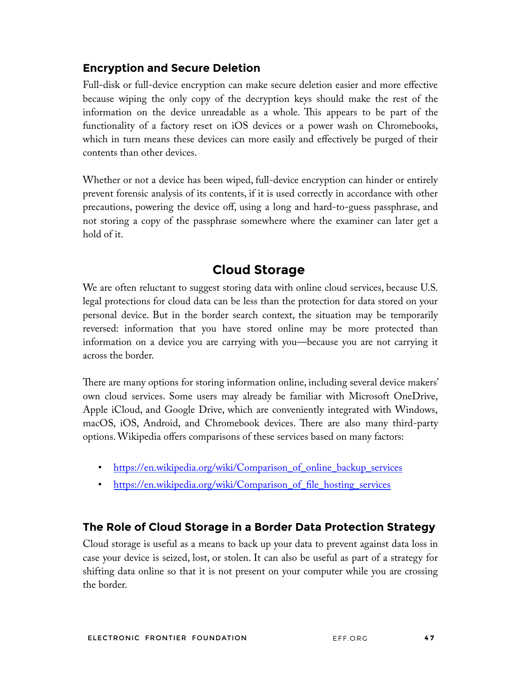## **Encryption and Secure Deletion**

Full-disk or full-device encryption can make secure deletion easier and more effective because wiping the only copy of the decryption keys should make the rest of the information on the device unreadable as a whole. This appears to be part of the functionality of a factory reset on iOS devices or a power wash on Chromebooks, which in turn means these devices can more easily and effectively be purged of their contents than other devices.

Whether or not a device has been wiped, full-device encryption can hinder or entirely prevent forensic analysis of its contents, if it is used correctly in accordance with other precautions, powering the device off, using a long and hard-to-guess passphrase, and not storing a copy of the passphrase somewhere where the examiner can later get a hold of it.

# **Cloud Storage**

We are often reluctant to suggest storing data with online cloud services, because U.S. legal protections for cloud data can be less than the protection for data stored on your personal device. But in the border search context, the situation may be temporarily reversed: information that you have stored online may be more protected than information on a device you are carrying with you—because you are not carrying it across the border.

There are many options for storing information online, including several device makers' own cloud services. Some users may already be familiar with Microsoft OneDrive, Apple iCloud, and Google Drive, which are conveniently integrated with Windows, macOS, iOS, Android, and Chromebook devices. There are also many third-party options. Wikipedia offers comparisons of these services based on many factors:

- https://en.wikipedia.org/wiki/Comparison\_of\_online\_backup\_services
- https://en.wikipedia.org/wiki/Comparison\_of\_file\_hosting\_services

## **The Role of Cloud Storage in a Border Data Protection Strategy**

Cloud storage is useful as a means to back up your data to prevent against data loss in case your device is seized, lost, or stolen. It can also be useful as part of a strategy for shifting data online so that it is not present on your computer while you are crossing the border.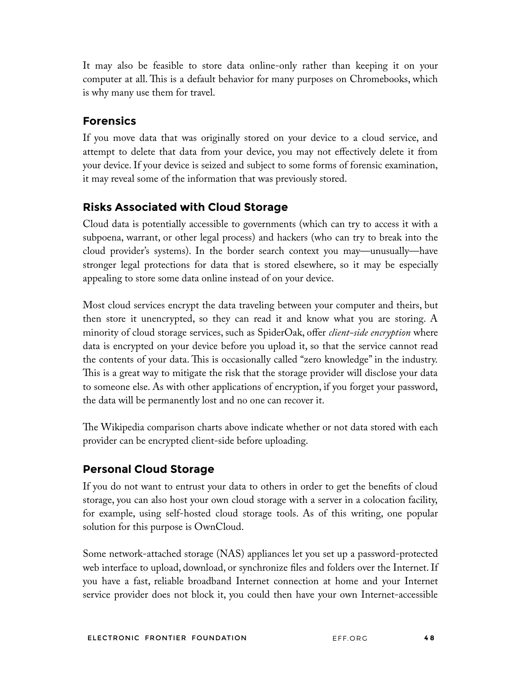It may also be feasible to store data online-only rather than keeping it on your computer at all. This is a default behavior for many purposes on Chromebooks, which is why many use them for travel.

## **Forensics**

If you move data that was originally stored on your device to a cloud service, and attempt to delete that data from your device, you may not effectively delete it from your device. If your device is seized and subject to some forms of forensic examination, it may reveal some of the information that was previously stored.

## **Risks Associated with Cloud Storage**

Cloud data is potentially accessible to governments (which can try to access it with a subpoena, warrant, or other legal process) and hackers (who can try to break into the cloud provider's systems). In the border search context you may—unusually—have stronger legal protections for data that is stored elsewhere, so it may be especially appealing to store some data online instead of on your device.

Most cloud services encrypt the data traveling between your computer and theirs, but then store it unencrypted, so they can read it and know what you are storing. A minority of cloud storage services, such as SpiderOak, offer *client-side encryption* where data is encrypted on your device before you upload it, so that the service cannot read the contents of your data. This is occasionally called "zero knowledge" in the industry. This is a great way to mitigate the risk that the storage provider will disclose your data to someone else. As with other applications of encryption, if you forget your password, the data will be permanently lost and no one can recover it.

The Wikipedia comparison charts above indicate whether or not data stored with each provider can be encrypted client-side before uploading.

## **Personal Cloud Storage**

If you do not want to entrust your data to others in order to get the benefts of cloud storage, you can also host your own cloud storage with a server in a colocation facility, for example, using self-hosted cloud storage tools. As of this writing, one popular solution for this purpose is OwnCloud.

Some network-attached storage (NAS) appliances let you set up a password-protected web interface to upload, download, or synchronize fles and folders over the Internet. If you have a fast, reliable broadband Internet connection at home and your Internet service provider does not block it, you could then have your own Internet-accessible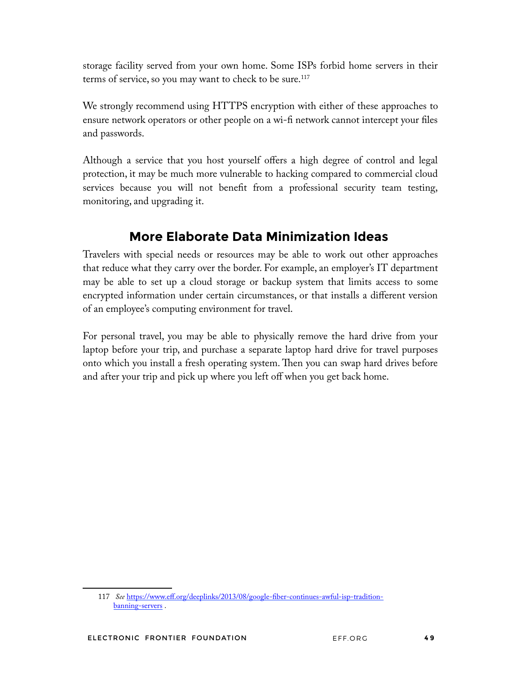storage facility served from your own home. Some ISPs forbid home servers in their terms of service, so you may want to check to be sure.<sup>117</sup>

We strongly recommend using HTTPS encryption with either of these approaches to ensure network operators or other people on a wi-fi network cannot intercept your files and passwords.

Although a service that you host yourself offers a high degree of control and legal protection, it may be much more vulnerable to hacking compared to commercial cloud services because you will not beneft from a professional security team testing, monitoring, and upgrading it.

# **More Elaborate Data Minimization Ideas**

Travelers with special needs or resources may be able to work out other approaches that reduce what they carry over the border. For example, an employer's IT department may be able to set up a cloud storage or backup system that limits access to some encrypted information under certain circumstances, or that installs a different version of an employee's computing environment for travel.

For personal travel, you may be able to physically remove the hard drive from your laptop before your trip, and purchase a separate laptop hard drive for travel purposes onto which you install a fresh operating system. Then you can swap hard drives before and after your trip and pick up where you left off when you get back home.

<sup>117</sup> *See* https://www.eff.org/deeplinks/2013/08/google-fber-continues-awful-isp-traditionbanning-servers .